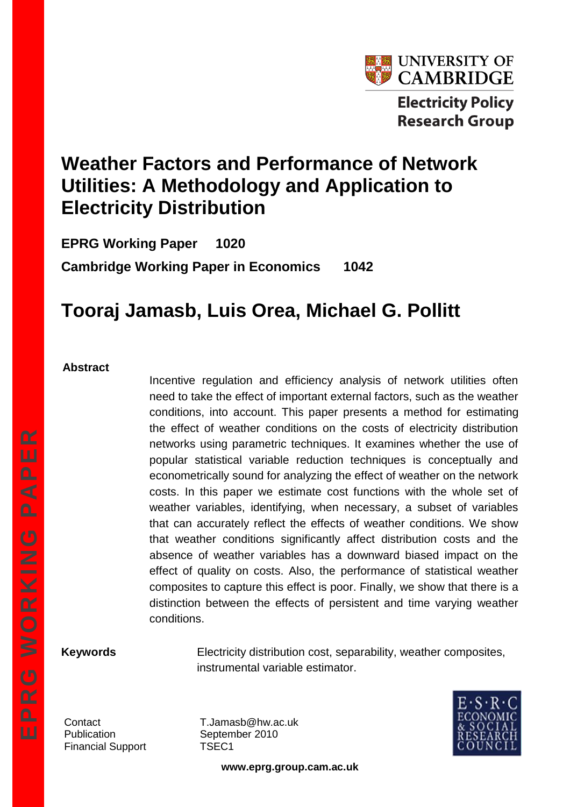

# **Weather Factors and Performance of Network Utilities: A Methodology and Application to Electricity Distribution**

**EPRG Working Paper 1020 Cambridge Working Paper in Economics 1042**

# **Tooraj Jamasb, Luis Orea, Michael G. Pollitt**

#### **Abstract**

Incentive regulation and efficiency analysis of network utilities often need to take the effect of important external factors, such as the weather conditions, into account. This paper presents a method for estimating the effect of weather conditions on the costs of electricity distribution networks using parametric techniques. It examines whether the use of popular statistical variable reduction techniques is conceptually and econometrically sound for analyzing the effect of weather on the network costs. In this paper we estimate cost functions with the whole set of weather variables, identifying, when necessary, a subset of variables that can accurately reflect the effects of weather conditions. We show that weather conditions significantly affect distribution costs and the absence of weather variables has a downward biased impact on the effect of quality on costs. Also, the performance of statistical weather composites to capture this effect is poor. Finally, we show that there is a distinction between the effects of persistent and time varying weather conditions.

**Keywords** Electricity distribution cost, separability, weather composites, instrumental variable estimator.

Financial Support TSEC1

Contact T.Jamasb@hw.ac.uk Publication September 2010



**www.eprg.group.cam.ac.uk**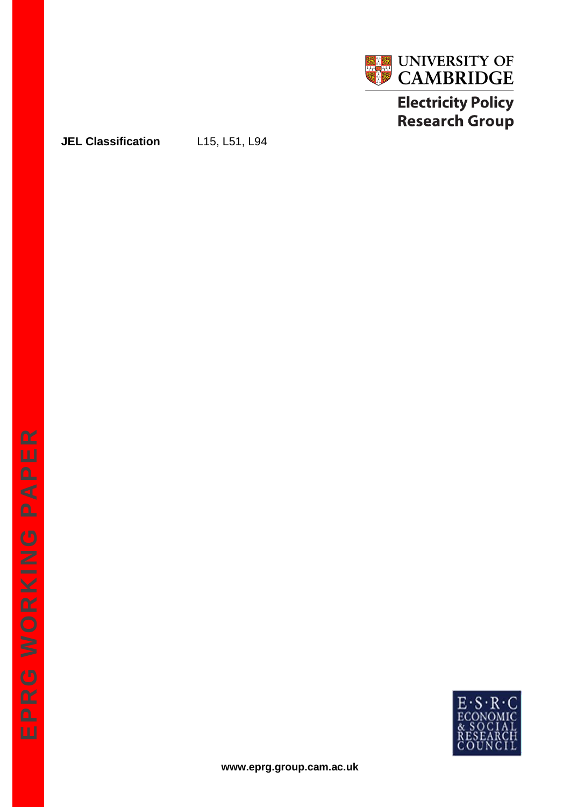

# **Electricity Policy Research Group**

**JEL Classification** L15, L51, L94

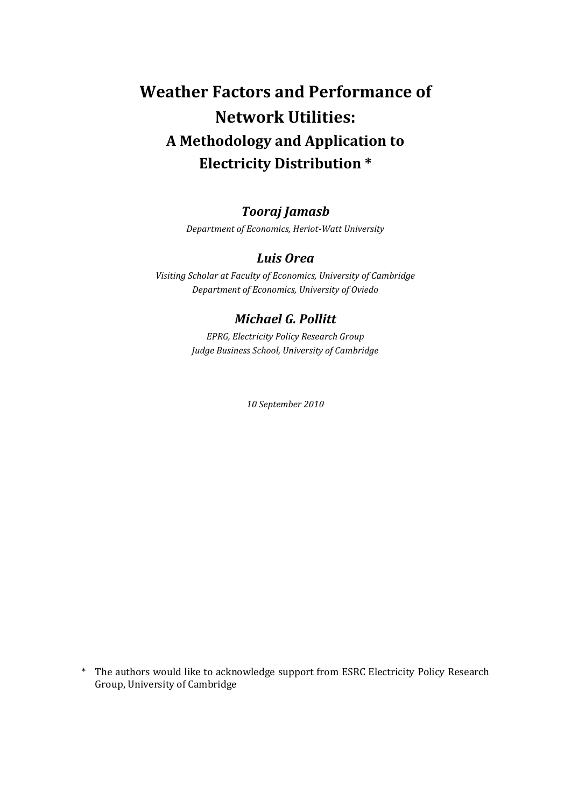# **Weather Factors and Performance of Network Utilities: A Methodology and Application to Electricity Distribution \***

# *Tooraj Jamasb*

*Department of Economics, Heriot-Watt University*

#### *Luis Orea*

*Visiting Scholar at Faculty of Economics, University of Cambridge Department of Economics, University of Oviedo*

#### *Michael G. Pollitt*

*EPRG, Electricity Policy Research Group Judge Business School, University of Cambridge*

*10 September 2010*

\* The authors would like to acknowledge support from ESRC Electricity Policy Research Group, University of Cambridge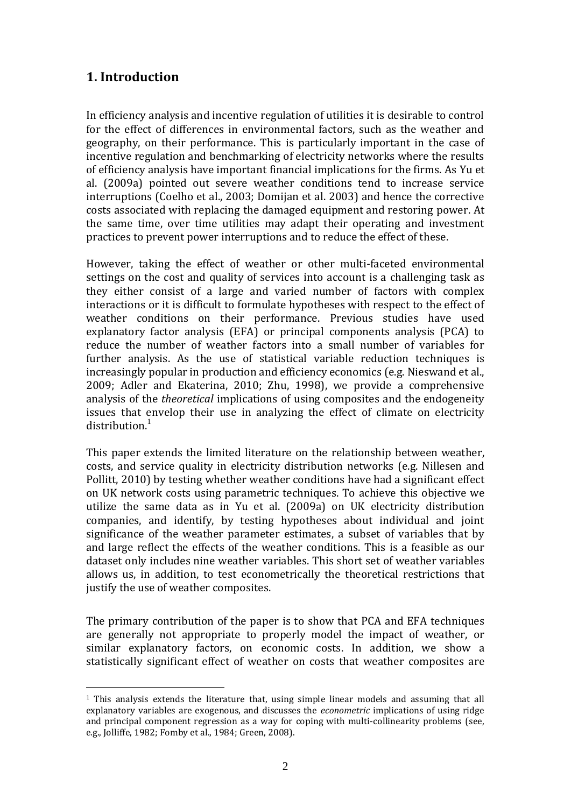## **1. Introduction**

<u>.</u>

In efficiency analysis and incentive regulation of utilities it is desirable to control for the effect of differences in environmental factors, such as the weather and geography, on their performance. This is particularly important in the case of incentive regulation and benchmarking of electricity networks where the results of efficiency analysis have important financial implications for the firms. As Yu et al. (2009a) pointed out severe weather conditions tend to increase service interruptions (Coelho et al., 2003; Domijan et al. 2003) and hence the corrective costs associated with replacing the damaged equipment and restoring power. At the same time, over time utilities may adapt their operating and investment practices to prevent power interruptions and to reduce the effect of these.

However, taking the effect of weather or other multi-faceted environmental settings on the cost and quality of services into account is a challenging task as they either consist of a large and varied number of factors with complex interactions or it is difficult to formulate hypotheses with respect to the effect of weather conditions on their performance. Previous studies have used explanatory factor analysis (EFA) or principal components analysis (PCA) to reduce the number of weather factors into a small number of variables for further analysis. As the use of statistical variable reduction techniques is increasingly popular in production and efficiency economics (e.g. Nieswand et al., 2009; Adler and Ekaterina, 2010; Zhu, 1998), we provide a comprehensive analysis of the *theoretical* implications of using composites and the endogeneity issues that envelop their use in analyzing the effect of climate on electricity  $distri$ bution.<sup>1</sup>

This paper extends the limited literature on the relationship between weather, costs, and service quality in electricity distribution networks (e.g. Nillesen and Pollitt, 2010) by testing whether weather conditions have had a significant effect on UK network costs using parametric techniques. To achieve this objective we utilize the same data as in Yu et al. (2009a) on UK electricity distribution companies, and identify, by testing hypotheses about individual and joint significance of the weather parameter estimates, a subset of variables that by and large reflect the effects of the weather conditions. This is a feasible as our dataset only includes nine weather variables. This short set of weather variables allows us, in addition, to test econometrically the theoretical restrictions that justify the use of weather composites.

The primary contribution of the paper is to show that PCA and EFA techniques are generally not appropriate to properly model the impact of weather, or similar explanatory factors, on economic costs. In addition, we show a statistically significant effect of weather on costs that weather composites are

<sup>1</sup> This analysis extends the literature that, using simple linear models and assuming that all explanatory variables are exogenous, and discusses the *econometric* implications of using ridge and principal component regression as a way for coping with multi-collinearity problems (see, e.g., Jolliffe, 1982; Fomby et al., 1984; Green, 2008).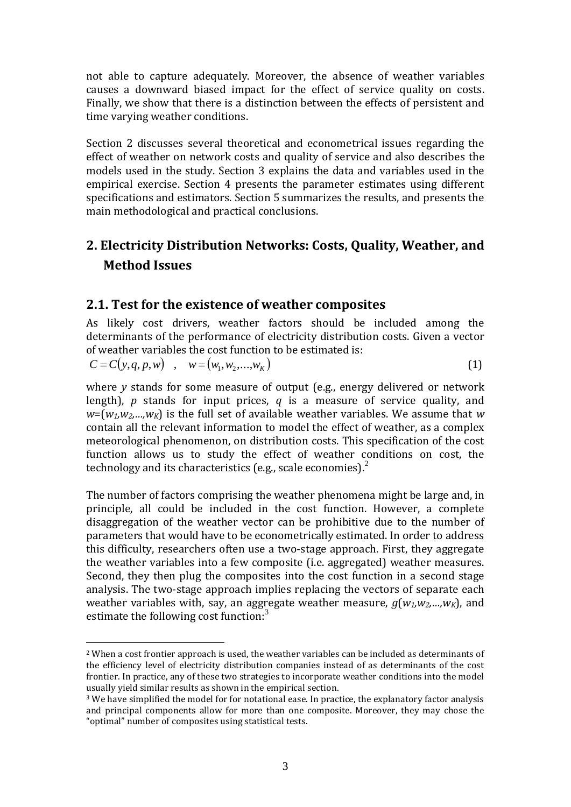not able to capture adequately. Moreover, the absence of weather variables causes a downward biased impact for the effect of service quality on costs. Finally, we show that there is a distinction between the effects of persistent and time varying weather conditions.

Section 2 discusses several theoretical and econometrical issues regarding the effect of weather on network costs and quality of service and also describes the models used in the study. Section 3 explains the data and variables used in the empirical exercise. Section 4 presents the parameter estimates using different specifications and estimators. Section 5 summarizes the results, and presents the main methodological and practical conclusions.

# **2. Electricity Distribution Networks: Costs, Quality, Weather, and Method Issues**

#### **2.1. Test for the existence of weather composites**

As likely cost drivers, weather factors should be included among the determinants of the performance of electricity distribution costs. Given a vector of weather variables the cost function to be estimated is:

 $C = C(y, q, p, w)$ ,  $w = (w_1, w_2, ..., w_K)$ (1)

where *y* stands for some measure of output (e.g., energy delivered or network length), *p* stands for input prices, *q* is a measure of service quality, and  $w = (w_1, w_2, \ldots, w_K)$  is the full set of available weather variables. We assume that *w* contain all the relevant information to model the effect of weather, as a complex meteorological phenomenon, on distribution costs. This specification of the cost function allows us to study the effect of weather conditions on cost, the technology and its characteristics (e.g., scale economies). $<sup>2</sup>$ </sup>

The number of factors comprising the weather phenomena might be large and, in principle, all could be included in the cost function. However, a complete disaggregation of the weather vector can be prohibitive due to the number of parameters that would have to be econometrically estimated. In order to address this difficulty, researchers often use a two-stage approach. First, they aggregate the weather variables into a few composite (i.e. aggregated) weather measures. Second, they then plug the composites into the cost function in a second stage analysis. The two-stage approach implies replacing the vectors of separate each weather variables with, say, an aggregate weather measure, *g*(*w1,w2,…,wK*), and estimate the following cost function:<sup>3</sup>

<u>.</u>

<sup>2</sup> When a cost frontier approach is used, the weather variables can be included as determinants of the efficiency level of electricity distribution companies instead of as determinants of the cost frontier. In practice, any of these two strategies to incorporate weather conditions into the model usually yield similar results as shown in the empirical section.

<sup>3</sup> We have simplified the model for for notational ease. In practice, the explanatory factor analysis and principal components allow for more than one composite. Moreover, they may chose the "optimal" number of composites using statistical tests.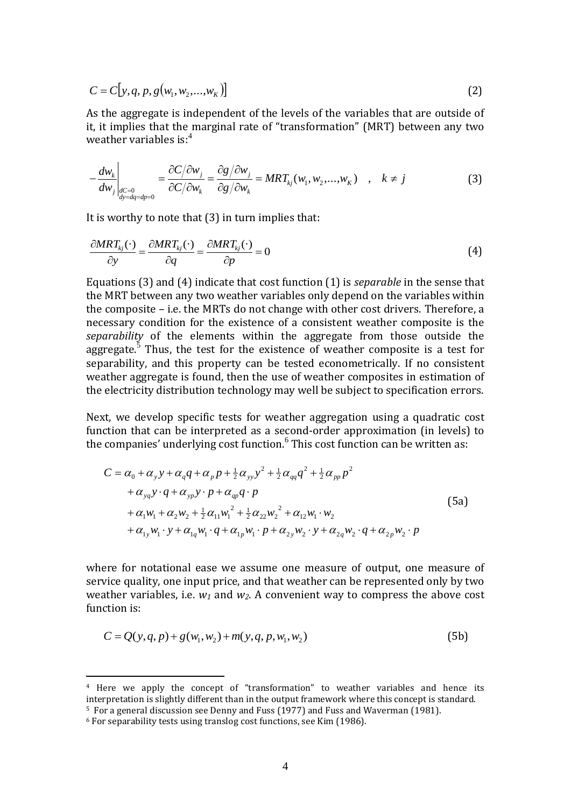$$
C = C[y, q, p, g(w_1, w_2, \dots, w_K)]
$$
\n(2)

As the aggregate is independent of the levels of the variables that are outside of it, it implies that the marginal rate of "transformation" (MRT) between any two weather variables is:<sup>4</sup>

$$
-\frac{dw_k}{dw_j}\Big|_{\substack{dC=0\\dy=dq=dp=0}} = \frac{\partial C/\partial w_j}{\partial C/\partial w_k} = \frac{\partial g/\partial w_j}{\partial g/\partial w_k} = MRT_{kj}(w_1, w_2,...,w_K) \quad , \quad k \neq j
$$
(3)

It is worthy to note that (3) in turn implies that:

$$
\frac{\partial MRT_{kj}(\cdot)}{\partial y} = \frac{\partial MRT_{kj}(\cdot)}{\partial q} = \frac{\partial MRT_{kj}(\cdot)}{\partial p} = 0
$$
\n(4)

Equations (3) and (4) indicate that cost function (1) is *separable* in the sense that the MRT between any two weather variables only depend on the variables within the composite – i.e. the MRTs do not change with other cost drivers. Therefore, a necessary condition for the existence of a consistent weather composite is the *separability* of the elements within the aggregate from those outside the aggregate. $5$  Thus, the test for the existence of weather composite is a test for separability, and this property can be tested econometrically. If no consistent weather aggregate is found, then the use of weather composites in estimation of the electricity distribution technology may well be subject to specification errors.

Next, we develop specific tests for weather aggregation using a quadratic cost function that can be interpreted as a second-order approximation (in levels) to the companies' underlying cost function.<sup>6</sup> This cost function can be written as:

$$
C = \alpha_0 + \alpha_y y + \alpha_q q + \alpha_p p + \frac{1}{2} \alpha_{yy} y^2 + \frac{1}{2} \alpha_{qq} q^2 + \frac{1}{2} \alpha_{pp} p^2
$$
  
+  $\alpha_{yq} y \cdot q + \alpha_{yp} y \cdot p + \alpha_{qp} q \cdot p$   
+  $\alpha_1 w_1 + \alpha_2 w_2 + \frac{1}{2} \alpha_{11} w_1^2 + \frac{1}{2} \alpha_{22} w_2^2 + \alpha_{12} w_1 \cdot w_2$   
+  $\alpha_{1y} w_1 \cdot y + \alpha_{1q} w_1 \cdot q + \alpha_{1p} w_1 \cdot p + \alpha_{2y} w_2 \cdot y + \alpha_{2q} w_2 \cdot q + \alpha_{2p} w_2 \cdot p$  (5a)

where for notational ease we assume one measure of output, one measure of service quality, one input price, and that weather can be represented only by two weather variables, i.e. *w<sup>1</sup>* and *w2*. A convenient way to compress the above cost function is:

$$
C = Q(y, q, p) + g(w_1, w_2) + m(y, q, p, w_1, w_2)
$$
\n(5b)

<sup>4</sup> Here we apply the concept of "transformation" to weather variables and hence its interpretation is slightly different than in the output framework where this concept is standard. <sup>5</sup> For a general discussion see Denny and Fuss (1977) and Fuss and Waverman (1981).

<sup>6</sup> For separability tests using translog cost functions, see Kim (1986).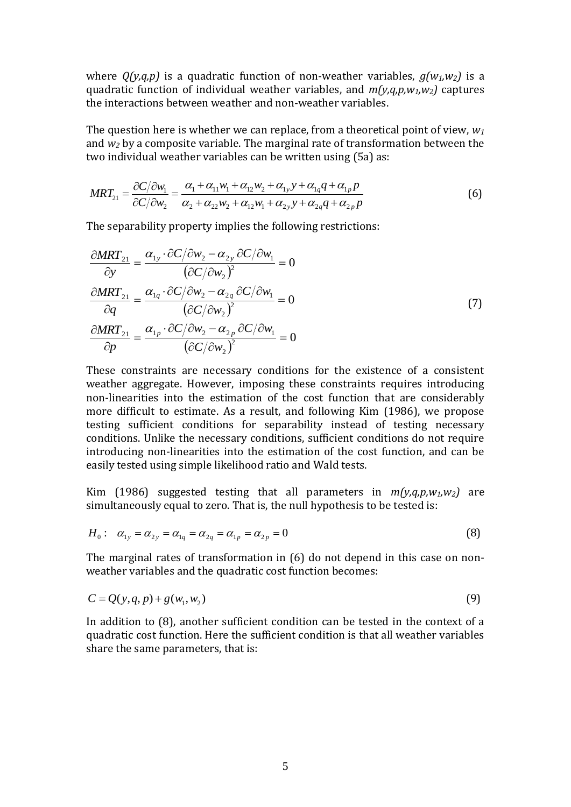where  $Q(y,q,p)$  is a quadratic function of non-weather variables,  $q(w_1,w_2)$  is a quadratic function of individual weather variables, and *m(y,q,p,w1,w2)* captures the interactions between weather and non-weather variables.

The question here is whether we can replace, from a theoretical point of view, *w<sup>1</sup>* and *w<sup>2</sup>* by a composite variable. The marginal rate of transformation between the two individual weather variables can be written using (5a) as:

$$
MRT_{21} = \frac{\partial C/\partial w_1}{\partial C/\partial w_2} = \frac{\alpha_1 + \alpha_{11}w_1 + \alpha_{12}w_2 + \alpha_{1y}y + \alpha_{1q}q + \alpha_{1p}p}{\alpha_2 + \alpha_{22}w_2 + \alpha_{12}w_1 + \alpha_{2y}y + \alpha_{2q}q + \alpha_{2p}p}
$$
(6)

The separability property implies the following restrictions:

$$
\frac{\partial MRT_{21}}{\partial y} = \frac{\alpha_{1y} \cdot \partial C/\partial w_2 - \alpha_{2y} \partial C/\partial w_1}{(\partial C/\partial w_2)^2} = 0
$$
  

$$
\frac{\partial MRT_{21}}{\partial q} = \frac{\alpha_{1q} \cdot \partial C/\partial w_2 - \alpha_{2q} \partial C/\partial w_1}{(\partial C/\partial w_2)^2} = 0
$$
  

$$
\frac{\partial MRT_{21}}{\partial p} = \frac{\alpha_{1p} \cdot \partial C/\partial w_2 - \alpha_{2p} \partial C/\partial w_1}{(\partial C/\partial w_2)^2} = 0
$$
 (7)

These constraints are necessary conditions for the existence of a consistent weather aggregate. However, imposing these constraints requires introducing non-linearities into the estimation of the cost function that are considerably more difficult to estimate. As a result, and following Kim (1986), we propose testing sufficient conditions for separability instead of testing necessary conditions. Unlike the necessary conditions, sufficient conditions do not require introducing non-linearities into the estimation of the cost function, and can be easily tested using simple likelihood ratio and Wald tests.

Kim (1986) suggested testing that all parameters in  $m(y,q,p,w_1,w_2)$  are simultaneously equal to zero. That is, the null hypothesis to be tested is:

$$
H_0: \quad \alpha_{1y} = \alpha_{2y} = \alpha_{1q} = \alpha_{2q} = \alpha_{1p} = \alpha_{2p} = 0 \tag{8}
$$

The marginal rates of transformation in (6) do not depend in this case on nonweather variables and the quadratic cost function becomes:

$$
C = Q(y, q, p) + g(w_1, w_2) \tag{9}
$$

In addition to (8), another sufficient condition can be tested in the context of a quadratic cost function. Here the sufficient condition is that all weather variables share the same parameters, that is: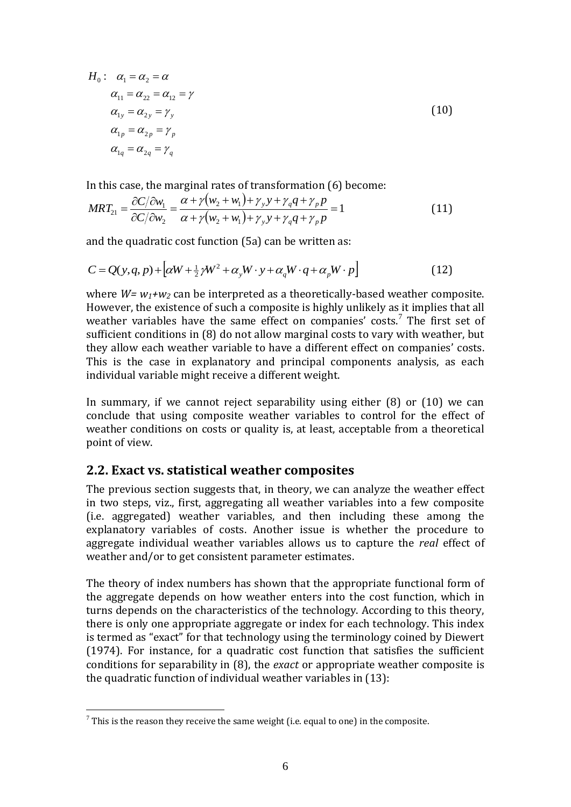$$
H_0: \quad \alpha_1 = \alpha_2 = \alpha
$$
  
\n
$$
\alpha_{11} = \alpha_{22} = \alpha_{12} = \gamma
$$
  
\n
$$
\alpha_{1y} = \alpha_{2y} = \gamma_y
$$
  
\n
$$
\alpha_{1p} = \alpha_{2p} = \gamma_p
$$
  
\n
$$
\alpha_{1q} = \alpha_{2q} = \gamma_q
$$
\n(10)

In this case, the marginal rates of transformation (6) become:

$$
MRT_{21} = \frac{\partial C/\partial w_1}{\partial C/\partial w_2} = \frac{\alpha + \gamma(w_2 + w_1) + \gamma_y y + \gamma_q q + \gamma_p p}{\alpha + \gamma(w_2 + w_1) + \gamma_y y + \gamma_q q + \gamma_p p} = 1
$$
\n(11)

and the quadratic cost function (5a) can be written as:

$$
C = Q(y, q, p) + \left[ \alpha W + \frac{1}{2} \gamma W^2 + \alpha_y W \cdot y + \alpha_q W \cdot q + \alpha_p W \cdot p \right]
$$
(12)

where *W= w1+w<sup>2</sup>* can be interpreted as a theoretically-based weather composite. However, the existence of such a composite is highly unlikely as it implies that all weather variables have the same effect on companies' costs.<sup>7</sup> The first set of sufficient conditions in (8) do not allow marginal costs to vary with weather, but they allow each weather variable to have a different effect on companies' costs. This is the case in explanatory and principal components analysis, as each individual variable might receive a different weight.

In summary, if we cannot reject separability using either (8) or (10) we can conclude that using composite weather variables to control for the effect of weather conditions on costs or quality is, at least, acceptable from a theoretical point of view.

#### **2.2. Exact vs. statistical weather composites**

The previous section suggests that, in theory, we can analyze the weather effect in two steps, viz., first, aggregating all weather variables into a few composite (i.e. aggregated) weather variables, and then including these among the explanatory variables of costs. Another issue is whether the procedure to aggregate individual weather variables allows us to capture the *real* effect of weather and/or to get consistent parameter estimates.

The theory of index numbers has shown that the appropriate functional form of the aggregate depends on how weather enters into the cost function, which in turns depends on the characteristics of the technology. According to this theory, there is only one appropriate aggregate or index for each technology. This index is termed as "exact" for that technology using the terminology coined by Diewert (1974). For instance, for a quadratic cost function that satisfies the sufficient conditions for separability in (8), the *exact* or appropriate weather composite is the quadratic function of individual weather variables in (13):

 $^7$  This is the reason they receive the same weight (i.e. equal to one) in the composite.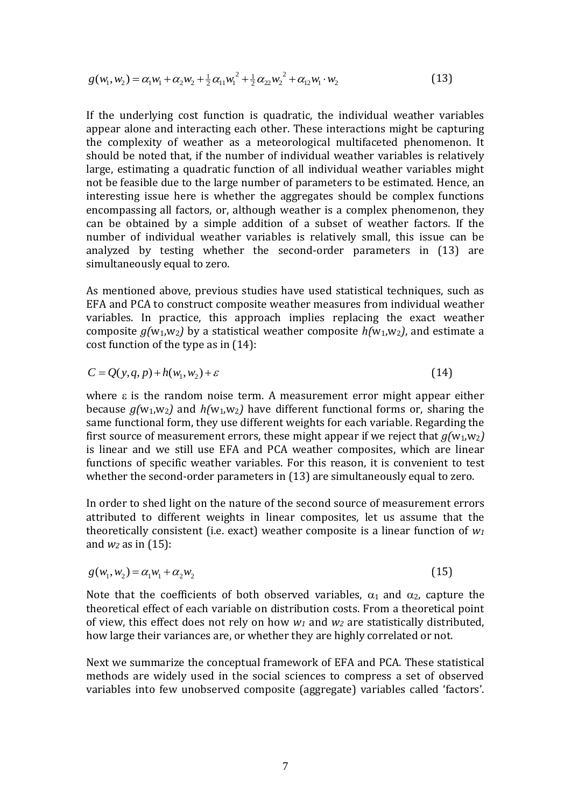$$
g(w_1, w_2) = \alpha_1 w_1 + \alpha_2 w_2 + \frac{1}{2} \alpha_{11} w_1^2 + \frac{1}{2} \alpha_{22} w_2^2 + \alpha_{12} w_1 \cdot w_2
$$
\n(13)

If the underlying cost function is quadratic, the individual weather variables appear alone and interacting each other. These interactions might be capturing the complexity of weather as a meteorological multifaceted phenomenon. It should be noted that, if the number of individual weather variables is relatively large, estimating a quadratic function of all individual weather variables might not be feasible due to the large number of parameters to be estimated. Hence, an interesting issue here is whether the aggregates should be complex functions encompassing all factors, or, although weather is a complex phenomenon, they can be obtained by a simple addition of a subset of weather factors. If the number of individual weather variables is relatively small, this issue can be analyzed by testing whether the second-order parameters in (13) are simultaneously equal to zero.

As mentioned above, previous studies have used statistical techniques, such as EFA and PCA to construct composite weather measures from individual weather variables. In practice, this approach implies replacing the exact weather composite  $q(w_1,w_2)$  by a statistical weather composite  $h(w_1,w_2)$ , and estimate a cost function of the type as in (14):

$$
C = Q(y, q, p) + h(w_1, w_2) + \varepsilon \tag{14}
$$

where  $\varepsilon$  is the random noise term. A measurement error might appear either because  $g(w_1, w_2)$  and  $h(w_1, w_2)$  have different functional forms or, sharing the same functional form, they use different weights for each variable. Regarding the first source of measurement errors, these might appear if we reject that  $q(w_1,w_2)$ is linear and we still use EFA and PCA weather composites, which are linear functions of specific weather variables. For this reason, it is convenient to test whether the second-order parameters in (13) are simultaneously equal to zero.

In order to shed light on the nature of the second source of measurement errors attributed to different weights in linear composites, let us assume that the theoretically consistent (i.e. exact) weather composite is a linear function of *w<sup>1</sup>* and *w<sup>2</sup>* as in (15):

$$
g(w_1, w_2) = \alpha_1 w_1 + \alpha_2 w_2 \tag{15}
$$

Note that the coefficients of both observed variables,  $\alpha_1$  and  $\alpha_2$ , capture the theoretical effect of each variable on distribution costs. From a theoretical point of view, this effect does not rely on how *w<sup>1</sup>* and *w<sup>2</sup>* are statistically distributed, how large their variances are, or whether they are highly correlated or not.

Next we summarize the conceptual framework of EFA and PCA. These statistical methods are widely used in the social sciences to compress a set of observed variables into few unobserved composite (aggregate) variables called 'factors'.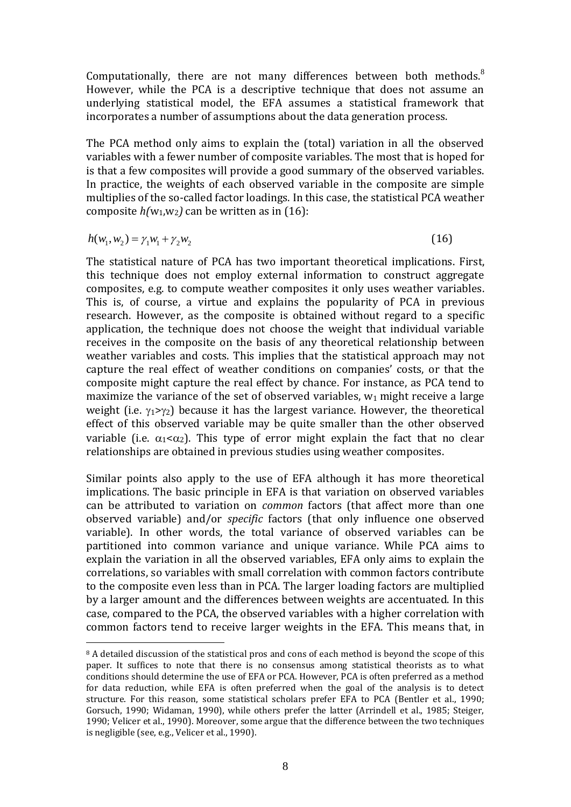Computationally, there are not many differences between both methods. $8$ However, while the PCA is a descriptive technique that does not assume an underlying statistical model, the EFA assumes a statistical framework that incorporates a number of assumptions about the data generation process.

The PCA method only aims to explain the (total) variation in all the observed variables with a fewer number of composite variables. The most that is hoped for is that a few composites will provide a good summary of the observed variables. In practice, the weights of each observed variable in the composite are simple multiplies of the so-called factor loadings. In this case, the statistical PCA weather composite  $h(w_1, w_2)$  can be written as in (16):

$$
h(w_1, w_2) = \gamma_1 w_1 + \gamma_2 w_2
$$

<u>.</u>

(16)

The statistical nature of PCA has two important theoretical implications. First, this technique does not employ external information to construct aggregate composites, e.g. to compute weather composites it only uses weather variables. This is, of course, a virtue and explains the popularity of PCA in previous research. However, as the composite is obtained without regard to a specific application, the technique does not choose the weight that individual variable receives in the composite on the basis of any theoretical relationship between weather variables and costs. This implies that the statistical approach may not capture the real effect of weather conditions on companies' costs, or that the composite might capture the real effect by chance. For instance, as PCA tend to maximize the variance of the set of observed variables,  $w_1$  might receive a large weight (i.e.  $\gamma_1 > \gamma_2$ ) because it has the largest variance. However, the theoretical effect of this observed variable may be quite smaller than the other observed variable (i.e.  $\alpha_1 < \alpha_2$ ). This type of error might explain the fact that no clear relationships are obtained in previous studies using weather composites.

Similar points also apply to the use of EFA although it has more theoretical implications. The basic principle in EFA is that variation on observed variables can be attributed to variation on *common* factors (that affect more than one observed variable) and/or *specific* factors (that only influence one observed variable). In other words, the total variance of observed variables can be partitioned into common variance and unique variance. While PCA aims to explain the variation in all the observed variables, EFA only aims to explain the correlations, so variables with small correlation with common factors contribute to the composite even less than in PCA. The larger loading factors are multiplied by a larger amount and the differences between weights are accentuated. In this case, compared to the PCA, the observed variables with a higher correlation with common factors tend to receive larger weights in the EFA. This means that, in

<sup>&</sup>lt;sup>8</sup> A detailed discussion of the statistical pros and cons of each method is beyond the scope of this paper. It suffices to note that there is no consensus among statistical theorists as to what conditions should determine the use of EFA or PCA. However, PCA is often preferred as a method for data reduction, while EFA is often preferred when the goal of the analysis is to detect structure. For this reason, some statistical scholars prefer EFA to PCA (Bentler et al., 1990; Gorsuch, 1990; Widaman, 1990), while others prefer the latter (Arrindell et al., 1985; Steiger, 1990; Velicer et al., 1990). Moreover, some argue that the difference between the two techniques is negligible (see, e.g., Velicer et al., 1990).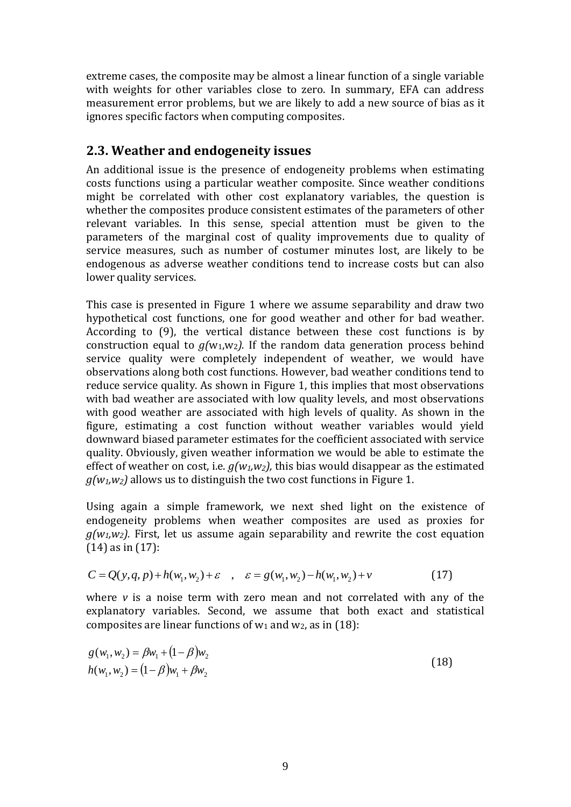extreme cases, the composite may be almost a linear function of a single variable with weights for other variables close to zero. In summary, EFA can address measurement error problems, but we are likely to add a new source of bias as it ignores specific factors when computing composites.

## **2.3. Weather and endogeneity issues**

An additional issue is the presence of endogeneity problems when estimating costs functions using a particular weather composite. Since weather conditions might be correlated with other cost explanatory variables, the question is whether the composites produce consistent estimates of the parameters of other relevant variables. In this sense, special attention must be given to the parameters of the marginal cost of quality improvements due to quality of service measures, such as number of costumer minutes lost, are likely to be endogenous as adverse weather conditions tend to increase costs but can also lower quality services.

This case is presented in Figure 1 where we assume separability and draw two hypothetical cost functions, one for good weather and other for bad weather. According to (9), the vertical distance between these cost functions is by construction equal to  $g(w_1,w_2)$ . If the random data generation process behind service quality were completely independent of weather, we would have observations along both cost functions. However, bad weather conditions tend to reduce service quality. As shown in Figure 1, this implies that most observations with bad weather are associated with low quality levels, and most observations with good weather are associated with high levels of quality. As shown in the figure, estimating a cost function without weather variables would yield downward biased parameter estimates for the coefficient associated with service quality. Obviously, given weather information we would be able to estimate the effect of weather on cost, i.e. *g(w1,w2),* this bias would disappear as the estimated  $g(w_1, w_2)$  allows us to distinguish the two cost functions in Figure 1.

Using again a simple framework, we next shed light on the existence of endogeneity problems when weather composites are used as proxies for  $q(w_1,w_2)$ . First, let us assume again separability and rewrite the cost equation (14) as in (17):

$$
C = Q(y, q, p) + h(w_1, w_2) + \varepsilon \quad , \quad \varepsilon = g(w_1, w_2) - h(w_1, w_2) + v \tag{17}
$$

where *v* is a noise term with zero mean and not correlated with any of the explanatory variables. Second, we assume that both exact and statistical composites are linear functions of  $w_1$  and  $w_2$ , as in (18):

$$
g(w_1, w_2) = \beta w_1 + (1 - \beta) w_2
$$
  
 
$$
h(w_1, w_2) = (1 - \beta) w_1 + \beta w_2
$$
 (18)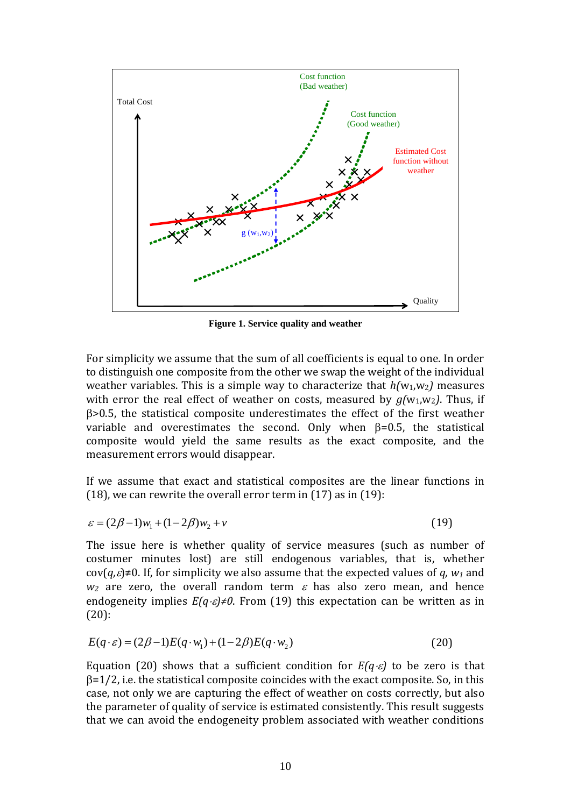

**Figure 1. Service quality and weather**

For simplicity we assume that the sum of all coefficients is equal to one. In order to distinguish one composite from the other we swap the weight of the individual weather variables. This is a simple way to characterize that  $h(w_1, w_2)$  measures with error the real effect of weather on costs, measured by  $g(w_1,w_2)$ . Thus, if >0.5, the statistical composite underestimates the effect of the first weather variable and overestimates the second. Only when  $\beta = 0.5$ , the statistical composite would yield the same results as the exact composite, and the measurement errors would disappear.

If we assume that exact and statistical composites are the linear functions in  $(18)$ , we can rewrite the overall error term in  $(17)$  as in  $(19)$ :

$$
\varepsilon = (2\beta - 1)w_1 + (1 - 2\beta)w_2 + v \tag{19}
$$

The issue here is whether quality of service measures (such as number of costumer minutes lost) are still endogenous variables, that is, whether  $cov(a,\varepsilon) \neq 0$ . If, for simplicity we also assume that the expected values of a,  $w_1$  and  $w_2$  are zero, the overall random term  $\varepsilon$  has also zero mean, and hence endogeneity implies *E(q)≠0*. From (19) this expectation can be written as in (20):

$$
E(q \cdot \varepsilon) = (2\beta - 1)E(q \cdot w_1) + (1 - 2\beta)E(q \cdot w_2)
$$
\n(20)

Equation (20) shows that a sufficient condition for  $E(q \cdot \varepsilon)$  to be zero is that  $\beta$ =1/2, i.e. the statistical composite coincides with the exact composite. So, in this case, not only we are capturing the effect of weather on costs correctly, but also the parameter of quality of service is estimated consistently. This result suggests that we can avoid the endogeneity problem associated with weather conditions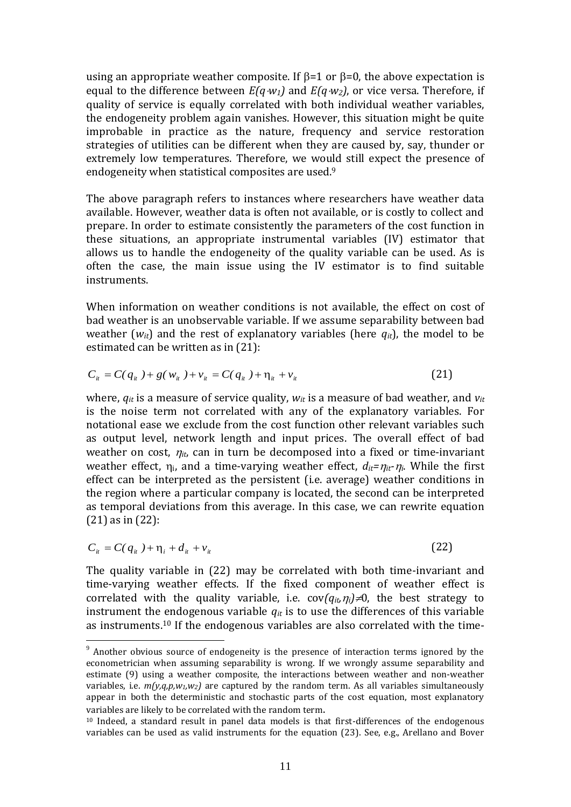using an appropriate weather composite. If  $\beta$ =1 or  $\beta$ =0, the above expectation is equal to the difference between *E(qw1)* and *E(qw2)*, or vice versa. Therefore, if quality of service is equally correlated with both individual weather variables, the endogeneity problem again vanishes. However, this situation might be quite improbable in practice as the nature, frequency and service restoration strategies of utilities can be different when they are caused by, say, thunder or extremely low temperatures. Therefore, we would still expect the presence of endogeneity when statistical composites are used.<sup>9</sup>

The above paragraph refers to instances where researchers have weather data available. However, weather data is often not available, or is costly to collect and prepare. In order to estimate consistently the parameters of the cost function in these situations, an appropriate instrumental variables (IV) estimator that allows us to handle the endogeneity of the quality variable can be used. As is often the case, the main issue using the IV estimator is to find suitable instruments.

When information on weather conditions is not available, the effect on cost of bad weather is an unobservable variable. If we assume separability between bad weather  $(w_{it})$  and the rest of explanatory variables (here  $q_{it}$ ), the model to be estimated can be written as in (21):

$$
C_{ii} = C(q_{ii}) + g(w_{ii}) + v_{ii} = C(q_{ii}) + \eta_{ii} + v_{ii}
$$
\n(21)

where,  $q_{it}$  is a measure of service quality,  $w_{it}$  is a measure of bad weather, and  $v_{it}$ is the noise term not correlated with any of the explanatory variables. For notational ease we exclude from the cost function other relevant variables such as output level, network length and input prices. The overall effect of bad weather on cost,  $\eta_{it}$ , can in turn be decomposed into a fixed or time-invariant weather effect,  $\eta_i$ , and a time-varying weather effect,  $d_{it} = \eta_{it} \cdot \eta_i$ . While the first effect can be interpreted as the persistent (i.e. average) weather conditions in the region where a particular company is located, the second can be interpreted as temporal deviations from this average. In this case, we can rewrite equation (21) as in (22):

$$
C_{ii} = C(q_{ii}) + \eta_i + d_{ii} + \nu_{ii}
$$
 (22)

<u>.</u>

The quality variable in (22) may be correlated with both time-invariant and time-varying weather effects. If the fixed component of weather effect is correlated with the quality variable, i.e.  $cov(q_{it}, \eta_i) \neq 0$ , the best strategy to instrument the endogenous variable  $q_{it}$  is to use the differences of this variable as instruments.<sup>10</sup> If the endogenous variables are also correlated with the time-

 $9$  Another obvious source of endogeneity is the presence of interaction terms ignored by the econometrician when assuming separability is wrong. If we wrongly assume separability and estimate (9) using a weather composite, the interactions between weather and non-weather variables, i.e.  $m(y,q,p,w_1,w_2)$  are captured by the random term. As all variables simultaneously appear in both the deterministic and stochastic parts of the cost equation, most explanatory variables are likely to be correlated with the random term.

<sup>10</sup> Indeed, a standard result in panel data models is that first-differences of the endogenous variables can be used as valid instruments for the equation (23). See, e.g., Arellano and Bover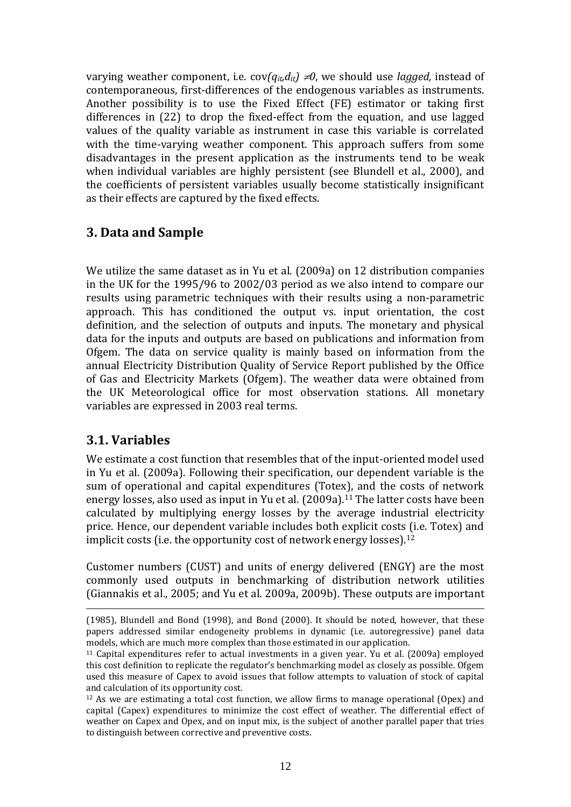varying weather component, i.e.  $cov(q_{it}d_{it}) \neq 0$ , we should use *lagged*, instead of contemporaneous, first-differences of the endogenous variables as instruments. Another possibility is to use the Fixed Effect (FE) estimator or taking first differences in (22) to drop the fixed-effect from the equation, and use lagged values of the quality variable as instrument in case this variable is correlated with the time-varying weather component. This approach suffers from some disadvantages in the present application as the instruments tend to be weak when individual variables are highly persistent (see Blundell et al., 2000), and the coefficients of persistent variables usually become statistically insignificant as their effects are captured by the fixed effects.

# **3. Data and Sample**

We utilize the same dataset as in Yu et al. (2009a) on 12 distribution companies in the UK for the 1995/96 to 2002/03 period as we also intend to compare our results using parametric techniques with their results using a non-parametric approach. This has conditioned the output vs. input orientation, the cost definition, and the selection of outputs and inputs. The monetary and physical data for the inputs and outputs are based on publications and information from Ofgem. The data on service quality is mainly based on information from the annual Electricity Distribution Quality of Service Report published by the Office of Gas and Electricity Markets (Ofgem). The weather data were obtained from the UK Meteorological office for most observation stations. All monetary variables are expressed in 2003 real terms.

# **3.1. Variables**

<u>.</u>

We estimate a cost function that resembles that of the input-oriented model used in Yu et al. (2009a). Following their specification, our dependent variable is the sum of operational and capital expenditures (Totex), and the costs of network energy losses, also used as input in Yu et al. (2009a).<sup>11</sup> The latter costs have been calculated by multiplying energy losses by the average industrial electricity price. Hence, our dependent variable includes both explicit costs (i.e. Totex) and implicit costs (i.e. the opportunity cost of network energy losses).<sup>12</sup>

Customer numbers (CUST) and units of energy delivered (ENGY) are the most commonly used outputs in benchmarking of distribution network utilities (Giannakis et al., 2005; and Yu et al. 2009a, 2009b). These outputs are important

<sup>(1985),</sup> Blundell and Bond (1998), and Bond (2000). It should be noted, however, that these papers addressed similar endogeneity problems in dynamic (i.e. autoregressive) panel data models, which are much more complex than those estimated in our application.

<sup>11</sup> Capital expenditures refer to actual investments in a given year. Yu et al. (2009a) employed this cost definition to replicate the regulator's benchmarking model as closely as possible. Ofgem used this measure of Capex to avoid issues that follow attempts to valuation of stock of capital and calculation of its opportunity cost.

 $12$  As we are estimating a total cost function, we allow firms to manage operational (Opex) and capital (Capex) expenditures to minimize the cost effect of weather. The differential effect of weather on Capex and Opex, and on input mix, is the subject of another parallel paper that tries to distinguish between corrective and preventive costs.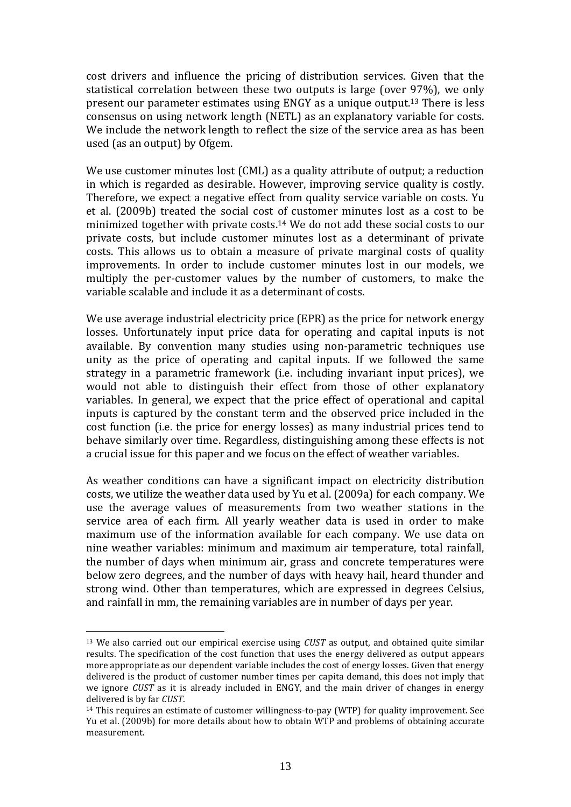cost drivers and influence the pricing of distribution services. Given that the statistical correlation between these two outputs is large (over 97%), we only present our parameter estimates using ENGY as a unique output.<sup>13</sup> There is less consensus on using network length (NETL) as an explanatory variable for costs. We include the network length to reflect the size of the service area as has been used (as an output) by Ofgem.

We use customer minutes lost (CML) as a quality attribute of output; a reduction in which is regarded as desirable. However, improving service quality is costly. Therefore, we expect a negative effect from quality service variable on costs. Yu et al. (2009b) treated the social cost of customer minutes lost as a cost to be minimized together with private costs.<sup>14</sup> We do not add these social costs to our private costs, but include customer minutes lost as a determinant of private costs. This allows us to obtain a measure of private marginal costs of quality improvements. In order to include customer minutes lost in our models, we multiply the per-customer values by the number of customers, to make the variable scalable and include it as a determinant of costs.

We use average industrial electricity price (EPR) as the price for network energy losses. Unfortunately input price data for operating and capital inputs is not available. By convention many studies using non-parametric techniques use unity as the price of operating and capital inputs. If we followed the same strategy in a parametric framework (i.e. including invariant input prices), we would not able to distinguish their effect from those of other explanatory variables. In general, we expect that the price effect of operational and capital inputs is captured by the constant term and the observed price included in the cost function (i.e. the price for energy losses) as many industrial prices tend to behave similarly over time. Regardless, distinguishing among these effects is not a crucial issue for this paper and we focus on the effect of weather variables.

As weather conditions can have a significant impact on electricity distribution costs, we utilize the weather data used by Yu et al. (2009a) for each company. We use the average values of measurements from two weather stations in the service area of each firm. All yearly weather data is used in order to make maximum use of the information available for each company. We use data on nine weather variables: minimum and maximum air temperature, total rainfall, the number of days when minimum air, grass and concrete temperatures were below zero degrees, and the number of days with heavy hail, heard thunder and strong wind. Other than temperatures, which are expressed in degrees Celsius, and rainfall in mm, the remaining variables are in number of days per year.

<u>.</u>

<sup>13</sup> We also carried out our empirical exercise using *CUST* as output, and obtained quite similar results. The specification of the cost function that uses the energy delivered as output appears more appropriate as our dependent variable includes the cost of energy losses. Given that energy delivered is the product of customer number times per capita demand, this does not imply that we ignore *CUST* as it is already included in ENGY, and the main driver of changes in energy delivered is by far *CUST*.

<sup>&</sup>lt;sup>14</sup> This requires an estimate of customer willingness-to-pay (WTP) for quality improvement. See Yu et al. (2009b) for more details about how to obtain WTP and problems of obtaining accurate measurement.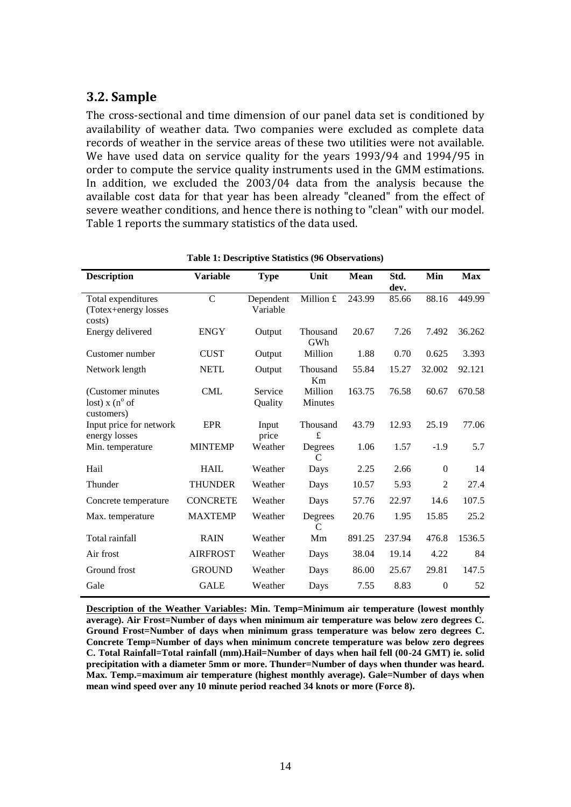## **3.2. Sample**

The cross-sectional and time dimension of our panel data set is conditioned by availability of weather data. Two companies were excluded as complete data records of weather in the service areas of these two utilities were not available. We have used data on service quality for the years 1993/94 and 1994/95 in order to compute the service quality instruments used in the GMM estimations. In addition, we excluded the 2003/04 data from the analysis because the available cost data for that year has been already "cleaned" from the effect of severe weather conditions, and hence there is nothing to "clean" with our model. Table 1 reports the summary statistics of the data used.

| <b>Description</b>                                          | <b>Variable</b> | <b>Type</b>           | Unit               | <b>Mean</b> | Std.<br>dev. | Min            | <b>Max</b> |
|-------------------------------------------------------------|-----------------|-----------------------|--------------------|-------------|--------------|----------------|------------|
| Total expenditures<br>(Totex+energy losses<br>costs)        | $\overline{C}$  | Dependent<br>Variable | Million £          | 243.99      | 85.66        | 88.16          | 449.99     |
| Energy delivered                                            | <b>ENGY</b>     | Output                | Thousand<br>GWh    | 20.67       | 7.26         | 7.492          | 36.262     |
| Customer number                                             | <b>CUST</b>     | Output                | Million            | 1.88        | 0.70         | 0.625          | 3.393      |
| Network length                                              | <b>NETL</b>     | Output                | Thousand<br>Km     | 55.84       | 15.27        | 32.002         | 92.121     |
| (Customer minutes)<br>lost) $x (n^{\circ}$ of<br>customers) | <b>CML</b>      | Service<br>Quality    | Million<br>Minutes | 163.75      | 76.58        | 60.67          | 670.58     |
| Input price for network<br>energy losses                    | <b>EPR</b>      | Input<br>price        | Thousand<br>£      | 43.79       | 12.93        | 25.19          | 77.06      |
| Min. temperature                                            | <b>MINTEMP</b>  | Weather               | Degrees<br>C       | 1.06        | 1.57         | $-1.9$         | 5.7        |
| Hail                                                        | <b>HAIL</b>     | Weather               | Days               | 2.25        | 2.66         | $\mathbf{0}$   | 14         |
| Thunder                                                     | <b>THUNDER</b>  | Weather               | Days               | 10.57       | 5.93         | $\overline{c}$ | 27.4       |
| Concrete temperature                                        | <b>CONCRETE</b> | Weather               | Days               | 57.76       | 22.97        | 14.6           | 107.5      |
| Max. temperature                                            | <b>MAXTEMP</b>  | Weather               | Degrees<br>C       | 20.76       | 1.95         | 15.85          | 25.2       |
| Total rainfall                                              | <b>RAIN</b>     | Weather               | Mm                 | 891.25      | 237.94       | 476.8          | 1536.5     |
| Air frost                                                   | <b>AIRFROST</b> | Weather               | Days               | 38.04       | 19.14        | 4.22           | 84         |
| Ground frost                                                | <b>GROUND</b>   | Weather               | Days               | 86.00       | 25.67        | 29.81          | 147.5      |
| Gale                                                        | <b>GALE</b>     | Weather               | Days               | 7.55        | 8.83         | $\mathbf{0}$   | 52         |

#### **Table 1: Descriptive Statistics (96 Observations)**

**Description of the Weather Variables: Min. Temp=Minimum air temperature (lowest monthly average). Air Frost=Number of days when minimum air temperature was below zero degrees C. Ground Frost=Number of days when minimum grass temperature was below zero degrees C. Concrete Temp=Number of days when minimum concrete temperature was below zero degrees C. Total Rainfall=Total rainfall (mm).Hail=Number of days when hail fell (00-24 GMT) ie. solid precipitation with a diameter 5mm or more. Thunder=Number of days when thunder was heard. Max. Temp.=maximum air temperature (highest monthly average). Gale=Number of days when mean wind speed over any 10 minute period reached 34 knots or more (Force 8).**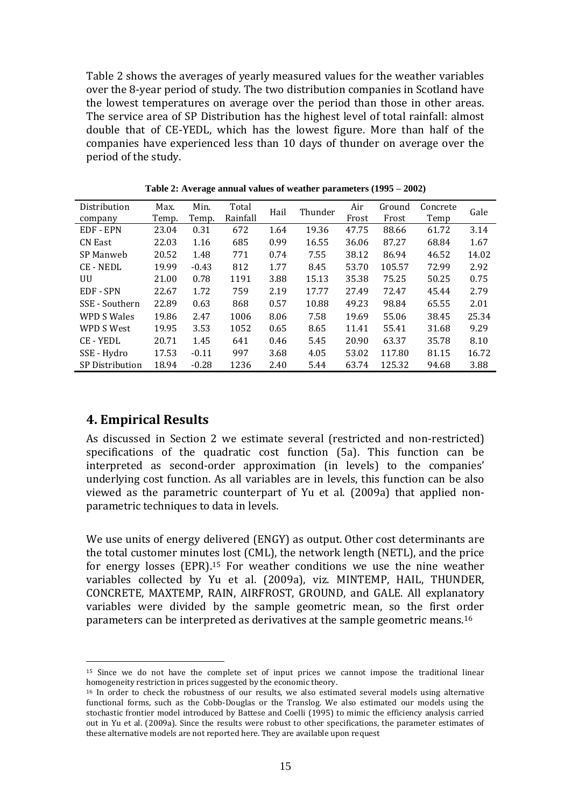Table 2 shows the averages of yearly measured values for the weather variables over the 8-year period of study. The two distribution companies in Scotland have the lowest temperatures on average over the period than those in other areas. The service area of SP Distribution has the highest level of total rainfall: almost double that of CE-YEDL, which has the lowest figure. More than half of the companies have experienced less than 10 days of thunder on average over the period of the study.

| Distribution           | Max.  | Min.    | Total    | Hail | Thunder | Air   | Ground | Concrete | Gale  |
|------------------------|-------|---------|----------|------|---------|-------|--------|----------|-------|
| company                | Temp. | Temp.   | Rainfall |      |         | Frost | Frost  | Temp     |       |
| EDF - EPN              | 23.04 | 0.31    | 672      | 1.64 | 19.36   | 47.75 | 88.66  | 61.72    | 3.14  |
| <b>CN East</b>         | 22.03 | 1.16    | 685      | 0.99 | 16.55   | 36.06 | 87.27  | 68.84    | 1.67  |
| SP Manweb              | 20.52 | 1.48    | 771      | 0.74 | 7.55    | 38.12 | 86.94  | 46.52    | 14.02 |
| <b>CE-NEDL</b>         | 19.99 | $-0.43$ | 812      | 1.77 | 8.45    | 53.70 | 105.57 | 72.99    | 2.92  |
| UU                     | 21.00 | 0.78    | 1191     | 3.88 | 15.13   | 35.38 | 75.25  | 50.25    | 0.75  |
| EDF - SPN              | 22.67 | 1.72    | 759      | 2.19 | 17.77   | 27.49 | 72.47  | 45.44    | 2.79  |
| SSE - Southern         | 22.89 | 0.63    | 868      | 0.57 | 10.88   | 49.23 | 98.84  | 65.55    | 2.01  |
| <b>WPD S Wales</b>     | 19.86 | 2.47    | 1006     | 8.06 | 7.58    | 19.69 | 55.06  | 38.45    | 25.34 |
| WPD S West             | 19.95 | 3.53    | 1052     | 0.65 | 8.65    | 11.41 | 55.41  | 31.68    | 9.29  |
| <b>CE-YEDL</b>         | 20.71 | 1.45    | 641      | 0.46 | 5.45    | 20.90 | 63.37  | 35.78    | 8.10  |
| SSE - Hydro            | 17.53 | $-0.11$ | 997      | 3.68 | 4.05    | 53.02 | 117.80 | 81.15    | 16.72 |
| <b>SP</b> Distribution | 18.94 | $-0.28$ | 1236     | 2.40 | 5.44    | 63.74 | 125.32 | 94.68    | 3.88  |

**Table 2: Average annual values of weather parameters (1995 – 2002)**

#### **4. Empirical Results**

<u>.</u>

As discussed in Section 2 we estimate several (restricted and non-restricted) specifications of the quadratic cost function (5a). This function can be interpreted as second-order approximation (in levels) to the companies' underlying cost function. As all variables are in levels, this function can be also viewed as the parametric counterpart of Yu et al. (2009a) that applied nonparametric techniques to data in levels.

We use units of energy delivered (ENGY) as output. Other cost determinants are the total customer minutes lost (CML), the network length (NETL), and the price for energy losses (EPR).<sup>15</sup> For weather conditions we use the nine weather variables collected by Yu et al. (2009a), viz. MINTEMP, HAIL, THUNDER, CONCRETE, MAXTEMP, RAIN, AIRFROST, GROUND, and GALE. All explanatory variables were divided by the sample geometric mean, so the first order parameters can be interpreted as derivatives at the sample geometric means.<sup>16</sup>

<sup>15</sup> Since we do not have the complete set of input prices we cannot impose the traditional linear homogeneity restriction in prices suggested by the economic theory.

<sup>&</sup>lt;sup>16</sup> In order to check the robustness of our results, we also estimated several models using alternative functional forms, such as the Cobb-Douglas or the Translog. We also estimated our models using the stochastic frontier model introduced by Battese and Coelli (1995) to mimic the efficiency analysis carried out in Yu et al. (2009a). Since the results were robust to other specifications, the parameter estimates of these alternative models are not reported here. They are available upon request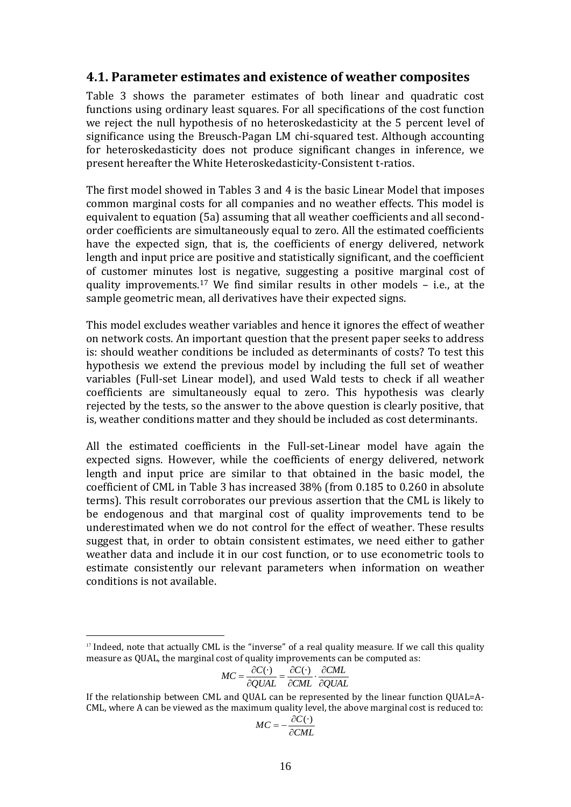#### **4.1. Parameter estimates and existence of weather composites**

Table 3 shows the parameter estimates of both linear and quadratic cost functions using ordinary least squares. For all specifications of the cost function we reject the null hypothesis of no heteroskedasticity at the 5 percent level of significance using the Breusch-Pagan LM chi-squared test. Although accounting for heteroskedasticity does not produce significant changes in inference, we present hereafter the White Heteroskedasticity-Consistent t-ratios.

The first model showed in Tables 3 and 4 is the basic Linear Model that imposes common marginal costs for all companies and no weather effects. This model is equivalent to equation (5a) assuming that all weather coefficients and all secondorder coefficients are simultaneously equal to zero. All the estimated coefficients have the expected sign, that is, the coefficients of energy delivered, network length and input price are positive and statistically significant, and the coefficient of customer minutes lost is negative, suggesting a positive marginal cost of quality improvements.<sup>17</sup> We find similar results in other models – i.e., at the sample geometric mean, all derivatives have their expected signs.

This model excludes weather variables and hence it ignores the effect of weather on network costs. An important question that the present paper seeks to address is: should weather conditions be included as determinants of costs? To test this hypothesis we extend the previous model by including the full set of weather variables (Full-set Linear model), and used Wald tests to check if all weather coefficients are simultaneously equal to zero. This hypothesis was clearly rejected by the tests, so the answer to the above question is clearly positive, that is, weather conditions matter and they should be included as cost determinants.

All the estimated coefficients in the Full-set-Linear model have again the expected signs. However, while the coefficients of energy delivered, network length and input price are similar to that obtained in the basic model, the coefficient of CML in Table 3 has increased 38% (from 0.185 to 0.260 in absolute terms). This result corroborates our previous assertion that the CML is likely to be endogenous and that marginal cost of quality improvements tend to be underestimated when we do not control for the effect of weather. These results suggest that, in order to obtain consistent estimates, we need either to gather weather data and include it in our cost function, or to use econometric tools to estimate consistently our relevant parameters when information on weather conditions is not available.

<u>.</u>

$$
MC = \frac{\partial C(\cdot)}{\partial QUAL} = \frac{\partial C(\cdot)}{\partial CML} \cdot \frac{\partial CML}{\partial QUAL}
$$

$$
MC = -\frac{\partial C(\cdot)}{\partial CML}
$$

<sup>&</sup>lt;sup>17</sup> Indeed, note that actually CML is the "inverse" of a real quality measure. If we call this quality measure as QUAL, the marginal cost of quality improvements can be computed as:

If the relationship between CML and QUAL can be represented by the linear function QUAL=A-CML, where A can be viewed as the maximum quality level, the above marginal cost is reduced to: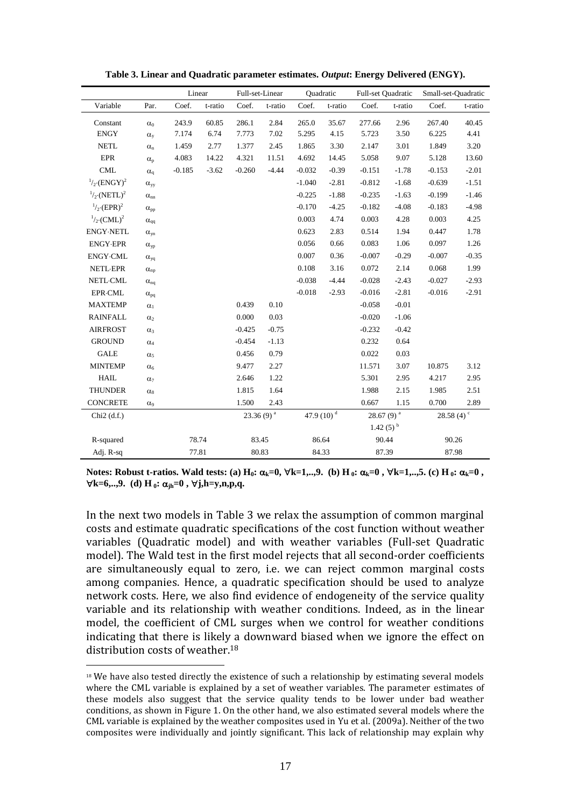|                                  |                       | Linear   |         |                | Full-set-Linear<br>Quadratic |          |                        | Full-set Quadratic     |         | Small-set-Quadratic      |         |
|----------------------------------|-----------------------|----------|---------|----------------|------------------------------|----------|------------------------|------------------------|---------|--------------------------|---------|
| Variable                         | Par.                  | Coef.    | t-ratio | Coef.          | t-ratio                      | Coef.    | t-ratio                | Coef.                  | t-ratio | Coef.                    | t-ratio |
| Constant                         | $\alpha_0$            | 243.9    | 60.85   | 286.1          | 2.84                         | 265.0    | 35.67                  | 277.66                 | 2.96    | 267.40                   | 40.45   |
| <b>ENGY</b>                      | $\alpha_{v}$          | 7.174    | 6.74    | 7.773          | 7.02                         | 5.295    | 4.15                   | 5.723                  | 3.50    | 6.225                    | 4.41    |
| <b>NETL</b>                      | $\alpha_{\rm n}$      | 1.459    | 2.77    | 1.377          | 2.45                         | 1.865    | 3.30                   | 2.147                  | 3.01    | 1.849                    | 3.20    |
| <b>EPR</b>                       | $\alpha_{\rm p}$      | 4.083    | 14.22   | 4.321          | 11.51                        | 4.692    | 14.45                  | 5.058                  | 9.07    | 5.128                    | 13.60   |
| CML                              | $\alpha_{\rm q}$      | $-0.185$ | $-3.62$ | $-0.260$       | $-4.44$                      | $-0.032$ | $-0.39$                | $-0.151$               | $-1.78$ | $-0.153$                 | $-2.01$ |
| $^{1}/_{2}$ ·(ENGY) <sup>2</sup> | $\alpha_{yy}$         |          |         |                |                              | $-1.040$ | $-2.81$                | $-0.812$               | $-1.68$ | $-0.639$                 | $-1.51$ |
| $^{1}/_{2}$ ·(NETL) <sup>2</sup> | $\alpha_{nn}$         |          |         |                |                              | $-0.225$ | $-1.88$                | $-0.235$               | $-1.63$ | $-0.199$                 | $-1.46$ |
| $^{1}/_{2}$ (EPR) <sup>2</sup>   | $\alpha_{\rm pp}$     |          |         |                |                              | $-0.170$ | $-4.25$                | $-0.182$               | $-4.08$ | $-0.183$                 | $-4.98$ |
| $^{1}/_{2}$ ·(CML) <sup>2</sup>  | $\alpha_{qq}$         |          |         |                |                              | 0.003    | 4.74                   | 0.003                  | 4.28    | 0.003                    | 4.25    |
| <b>ENGY-NETL</b>                 | $\alpha_{yn}$         |          |         |                |                              | 0.623    | 2.83                   | 0.514                  | 1.94    | 0.447                    | 1.78    |
| <b>ENGY-EPR</b>                  | $\alpha_{yp}$         |          |         |                |                              | 0.056    | 0.66                   | 0.083                  | 1.06    | 0.097                    | 1.26    |
| <b>ENGY-CML</b>                  | $\alpha_{yq}$         |          |         |                |                              | 0.007    | 0.36                   | $-0.007$               | $-0.29$ | $-0.007$                 | $-0.35$ |
| <b>NETL-EPR</b>                  | $\alpha_{\rm np}$     |          |         |                |                              | 0.108    | 3.16                   | 0.072                  | 2.14    | 0.068                    | 1.99    |
| <b>NETL-CML</b>                  | $\alpha_{nq}$         |          |         |                |                              | $-0.038$ | $-4.44$                | $-0.028$               | $-2.43$ | $-0.027$                 | $-2.93$ |
| <b>EPR</b> -CML                  | $\alpha_{pq}$         |          |         |                |                              | $-0.018$ | $-2.93$                | $-0.016$               | $-2.81$ | $-0.016$                 | $-2.91$ |
| <b>MAXTEMP</b>                   | $\alpha_1$            |          |         | 0.439          | 0.10                         |          |                        | $-0.058$               | $-0.01$ |                          |         |
| <b>RAINFALL</b>                  | $\alpha_2$            |          |         | 0.000          | 0.03                         |          |                        | $-0.020$               | $-1.06$ |                          |         |
| <b>AIRFROST</b>                  | $\alpha_3$            |          |         | $-0.425$       | $-0.75$                      |          |                        | $-0.232$               | $-0.42$ |                          |         |
| <b>GROUND</b>                    | $\alpha_4$            |          |         | $-0.454$       | $-1.13$                      |          |                        | 0.232                  | 0.64    |                          |         |
| <b>GALE</b>                      | $\alpha_5$            |          |         | 0.456          | 0.79                         |          |                        | 0.022                  | 0.03    |                          |         |
| <b>MINTEMP</b>                   | $\alpha_6$            |          |         | 9.477          | 2.27                         |          |                        | 11.571                 | 3.07    | 10.875                   | 3.12    |
| <b>HAIL</b>                      | $\alpha$ <sub>7</sub> |          |         | 2.646          | 1.22                         |          |                        | 5.301                  | 2.95    | 4.217                    | 2.95    |
| <b>THUNDER</b>                   | $\alpha_8$            |          |         | 1.815          | 1.64                         |          |                        | 1.988                  | 2.15    | 1.985                    | 2.51    |
| <b>CONCRETE</b>                  | $\alpha_9$            |          |         | 1.500          | 2.43                         |          |                        | 0.667                  | 1.15    | 0.700                    | 2.89    |
| Chi $2(d.f.)$                    |                       |          |         | $23.36(9)^{a}$ |                              |          | 47.9 (10) <sup>d</sup> | $28.67(9)^{a}$         |         | 28.58 $(4)$ <sup>c</sup> |         |
|                                  |                       |          |         |                |                              |          |                        | $1.42(5)$ <sup>b</sup> |         |                          |         |
| R-squared                        |                       | 78.74    |         | 83.45          |                              |          | 86.64                  | 90.44                  |         | 90.26                    |         |
| Adj. R-sq                        |                       | 77.81    |         | 80.83          |                              | 84.33    |                        | 87.39                  |         | 87.98                    |         |

**Table 3. Linear and Quadratic parameter estimates.** *Output***: Energy Delivered (ENGY).**

**Notes:** Robust **t-ratios.** Wald **tests:** (a)  $H_0: \alpha_k = 0, \forall k = 1,...,9$ . (b)  $H_0: \alpha_k = 0, \forall k = 1,...,5$ . (c)  $H_0: \alpha_k = 0$ ,  $\forall k=6,...,9$ . (d) **H**<sub>0</sub>**:**  $\alpha_{ih}=0$ ,  $\forall j,h=y,n,p,q$ .

In the next two models in Table 3 we relax the assumption of common marginal costs and estimate quadratic specifications of the cost function without weather variables (Quadratic model) and with weather variables (Full-set Quadratic model). The Wald test in the first model rejects that all second-order coefficients are simultaneously equal to zero, i.e. we can reject common marginal costs among companies. Hence, a quadratic specification should be used to analyze network costs. Here, we also find evidence of endogeneity of the service quality variable and its relationship with weather conditions. Indeed, as in the linear model, the coefficient of CML surges when we control for weather conditions indicating that there is likely a downward biased when we ignore the effect on distribution costs of weather.<sup>18</sup>

<sup>&</sup>lt;sup>18</sup> We have also tested directly the existence of such a relationship by estimating several models where the CML variable is explained by a set of weather variables. The parameter estimates of these models also suggest that the service quality tends to be lower under bad weather conditions, as shown in Figure 1. On the other hand, we also estimated several models where the CML variable is explained by the weather composites used in Yu et al. (2009a). Neither of the two composites were individually and jointly significant. This lack of relationship may explain why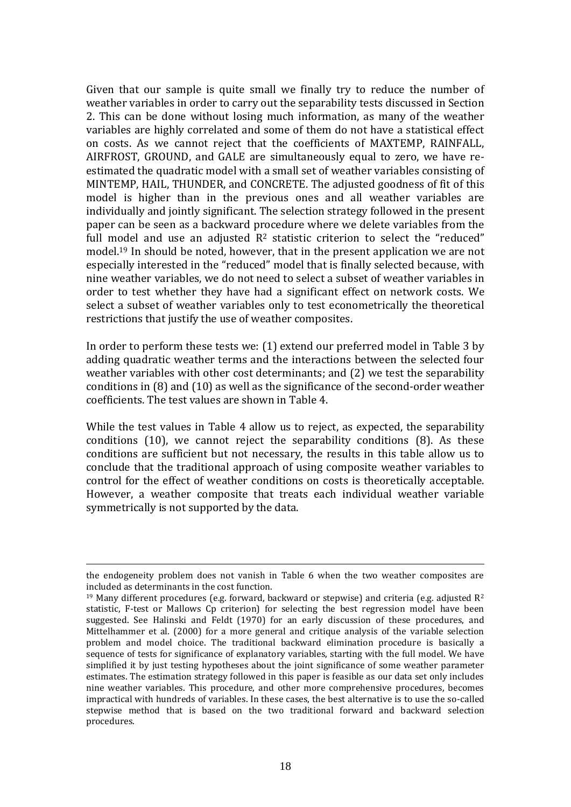Given that our sample is quite small we finally try to reduce the number of weather variables in order to carry out the separability tests discussed in Section 2. This can be done without losing much information, as many of the weather variables are highly correlated and some of them do not have a statistical effect on costs. As we cannot reject that the coefficients of MAXTEMP, RAINFALL, AIRFROST, GROUND, and GALE are simultaneously equal to zero, we have reestimated the quadratic model with a small set of weather variables consisting of MINTEMP, HAIL, THUNDER, and CONCRETE. The adjusted goodness of fit of this model is higher than in the previous ones and all weather variables are individually and jointly significant. The selection strategy followed in the present paper can be seen as a backward procedure where we delete variables from the full model and use an adjusted  $R^2$  statistic criterion to select the "reduced" model.<sup>19</sup> In should be noted, however, that in the present application we are not especially interested in the "reduced" model that is finally selected because, with nine weather variables, we do not need to select a subset of weather variables in order to test whether they have had a significant effect on network costs. We select a subset of weather variables only to test econometrically the theoretical restrictions that justify the use of weather composites.

In order to perform these tests we: (1) extend our preferred model in Table 3 by adding quadratic weather terms and the interactions between the selected four weather variables with other cost determinants; and (2) we test the separability conditions in (8) and (10) as well as the significance of the second-order weather coefficients. The test values are shown in Table 4.

While the test values in Table 4 allow us to reject, as expected, the separability conditions (10), we cannot reject the separability conditions (8). As these conditions are sufficient but not necessary, the results in this table allow us to conclude that the traditional approach of using composite weather variables to control for the effect of weather conditions on costs is theoretically acceptable. However, a weather composite that treats each individual weather variable symmetrically is not supported by the data.

<u>.</u>

the endogeneity problem does not vanish in Table 6 when the two weather composites are included as determinants in the cost function.

<sup>&</sup>lt;sup>19</sup> Many different procedures (e.g. forward, backward or stepwise) and criteria (e.g. adjusted  $\mathbb{R}^2$ statistic, F-test or Mallows Cp criterion) for selecting the best regression model have been suggested. See Halinski and Feldt (1970) for an early discussion of these procedures, and Mittelhammer et al. (2000) for a more general and critique analysis of the variable selection problem and model choice. The traditional backward elimination procedure is basically a sequence of tests for significance of explanatory variables, starting with the full model. We have simplified it by just testing hypotheses about the joint significance of some weather parameter estimates. The estimation strategy followed in this paper is feasible as our data set only includes nine weather variables. This procedure, and other more comprehensive procedures, becomes impractical with hundreds of variables. In these cases, the best alternative is to use the so-called stepwise method that is based on the two traditional forward and backward selection procedures.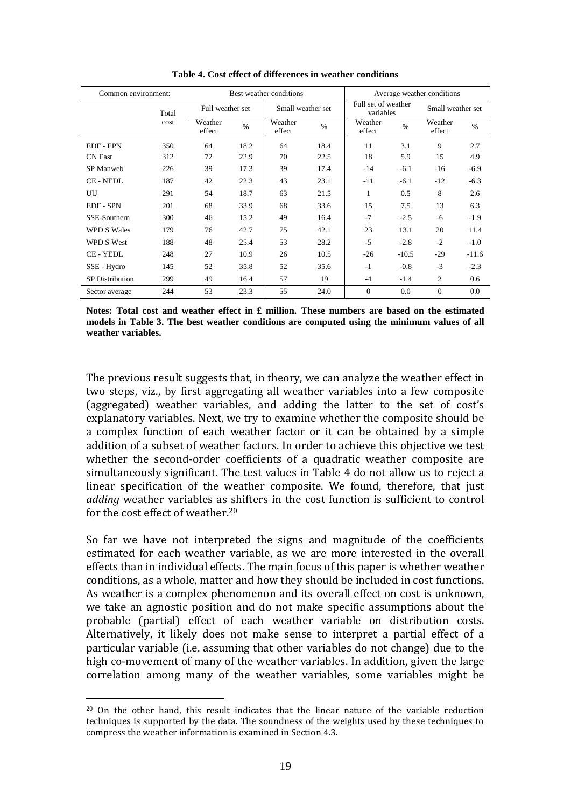| Common environment:    |       |                   |                  | Best weather conditions | Average weather conditions |                   |                                  |                   |         |
|------------------------|-------|-------------------|------------------|-------------------------|----------------------------|-------------------|----------------------------------|-------------------|---------|
|                        | Total |                   | Full weather set |                         | Small weather set          |                   | Full set of weather<br>variables | Small weather set |         |
|                        | cost  | Weather<br>effect | $\%$             | Weather<br>effect       | $\%$                       | Weather<br>effect | $\%$                             | Weather<br>effect | $\%$    |
| <b>EDF - EPN</b>       | 350   | 64                | 18.2             | 64                      | 18.4                       | 11                | 3.1                              | 9                 | 2.7     |
| <b>CN</b> East         | 312   | 72                | 22.9             | 70                      | 22.5                       | 18                | 5.9                              | 15                | 4.9     |
| <b>SP</b> Manweb       | 226   | 39                | 17.3             | 39                      | 17.4                       | $-14$             | $-6.1$                           | $-16$             | $-6.9$  |
| <b>CE-NEDL</b>         | 187   | 42                | 22.3             | 43                      | 23.1                       | $-11$             | $-6.1$                           | $-12$             | $-6.3$  |
| UU                     | 291   | 54                | 18.7             | 63                      | 21.5                       | 1                 | 0.5                              | 8                 | 2.6     |
| <b>EDF - SPN</b>       | 201   | 68                | 33.9             | 68                      | 33.6                       | 15                | 7.5                              | 13                | 6.3     |
| SSE-Southern           | 300   | 46                | 15.2             | 49                      | 16.4                       | $-7$              | $-2.5$                           | $-6$              | $-1.9$  |
| <b>WPD S Wales</b>     | 179   | 76                | 42.7             | 75                      | 42.1                       | 23                | 13.1                             | 20                | 11.4    |
| WPD S West             | 188   | 48                | 25.4             | 53                      | 28.2                       | $-5$              | $-2.8$                           | $-2$              | $-1.0$  |
| <b>CE - YEDL</b>       | 248   | 27                | 10.9             | 26                      | 10.5                       | $-26$             | $-10.5$                          | $-29$             | $-11.6$ |
| SSE - Hydro            | 145   | 52                | 35.8             | 52                      | 35.6                       | $-1$              | $-0.8$                           | $-3$              | $-2.3$  |
| <b>SP</b> Distribution | 299   | 49                | 16.4             | 57                      | 19                         | $-4$              | $-1.4$                           | $\overline{2}$    | 0.6     |
| Sector average         | 244   | 53                | 23.3             | 55                      | 24.0                       | $\Omega$          | 0.0                              | $\Omega$          | 0.0     |

**Table 4. Cost effect of differences in weather conditions**

**Notes: Total cost and weather effect in £ million. These numbers are based on the estimated models in Table 3. The best weather conditions are computed using the minimum values of all weather variables.** 

The previous result suggests that, in theory, we can analyze the weather effect in two steps, viz., by first aggregating all weather variables into a few composite (aggregated) weather variables, and adding the latter to the set of cost's explanatory variables. Next, we try to examine whether the composite should be a complex function of each weather factor or it can be obtained by a simple addition of a subset of weather factors. In order to achieve this objective we test whether the second-order coefficients of a quadratic weather composite are simultaneously significant. The test values in Table 4 do not allow us to reject a linear specification of the weather composite. We found, therefore, that just *adding* weather variables as shifters in the cost function is sufficient to control for the cost effect of weather.<sup>20</sup>

So far we have not interpreted the signs and magnitude of the coefficients estimated for each weather variable, as we are more interested in the overall effects than in individual effects. The main focus of this paper is whether weather conditions, as a whole, matter and how they should be included in cost functions. As weather is a complex phenomenon and its overall effect on cost is unknown, we take an agnostic position and do not make specific assumptions about the probable (partial) effect of each weather variable on distribution costs. Alternatively, it likely does not make sense to interpret a partial effect of a particular variable (i.e. assuming that other variables do not change) due to the high co-movement of many of the weather variables. In addition, given the large correlation among many of the weather variables, some variables might be

<sup>20</sup> On the other hand, this result indicates that the linear nature of the variable reduction techniques is supported by the data. The soundness of the weights used by these techniques to compress the weather information is examined in Section 4.3.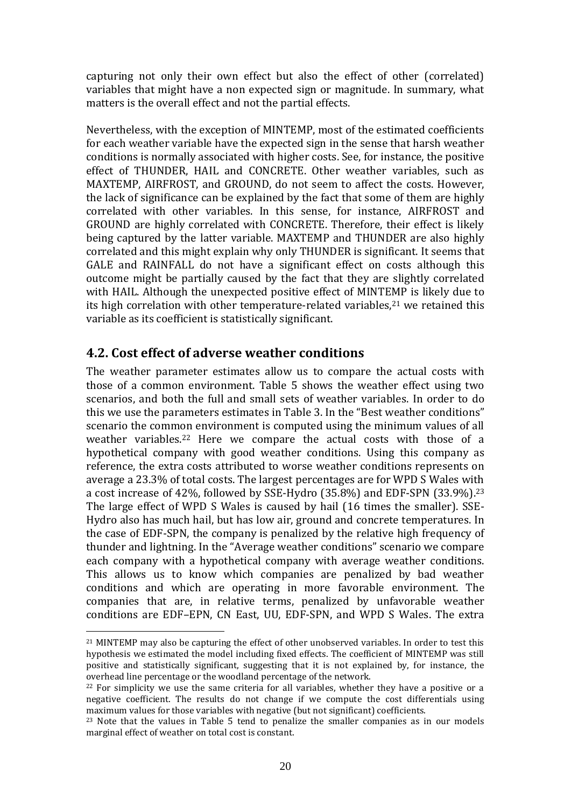capturing not only their own effect but also the effect of other (correlated) variables that might have a non expected sign or magnitude. In summary, what matters is the overall effect and not the partial effects.

Nevertheless, with the exception of MINTEMP, most of the estimated coefficients for each weather variable have the expected sign in the sense that harsh weather conditions is normally associated with higher costs. See, for instance, the positive effect of THUNDER, HAIL and CONCRETE. Other weather variables, such as MAXTEMP, AIRFROST, and GROUND, do not seem to affect the costs. However, the lack of significance can be explained by the fact that some of them are highly correlated with other variables. In this sense, for instance, AIRFROST and GROUND are highly correlated with CONCRETE. Therefore, their effect is likely being captured by the latter variable. MAXTEMP and THUNDER are also highly correlated and this might explain why only THUNDER is significant. It seems that GALE and RAINFALL do not have a significant effect on costs although this outcome might be partially caused by the fact that they are slightly correlated with HAIL. Although the unexpected positive effect of MINTEMP is likely due to its high correlation with other temperature-related variables, $21$  we retained this variable as its coefficient is statistically significant.

## **4.2. Cost effect of adverse weather conditions**

<u>.</u>

The weather parameter estimates allow us to compare the actual costs with those of a common environment. Table 5 shows the weather effect using two scenarios, and both the full and small sets of weather variables. In order to do this we use the parameters estimates in Table 3. In the "Best weather conditions" scenario the common environment is computed using the minimum values of all weather variables.<sup>22</sup> Here we compare the actual costs with those of a hypothetical company with good weather conditions. Using this company as reference, the extra costs attributed to worse weather conditions represents on average a 23.3% of total costs. The largest percentages are for WPD S Wales with a cost increase of 42%, followed by SSE-Hydro (35.8%) and EDF-SPN (33.9%).<sup>23</sup> The large effect of WPD S Wales is caused by hail (16 times the smaller). SSE-Hydro also has much hail, but has low air, ground and concrete temperatures. In the case of EDF-SPN, the company is penalized by the relative high frequency of thunder and lightning. In the "Average weather conditions" scenario we compare each company with a hypothetical company with average weather conditions. This allows us to know which companies are penalized by bad weather conditions and which are operating in more favorable environment. The companies that are, in relative terms, penalized by unfavorable weather conditions are EDF–EPN, CN East, UU, EDF-SPN, and WPD S Wales. The extra

<sup>&</sup>lt;sup>21</sup> MINTEMP may also be capturing the effect of other unobserved variables. In order to test this hypothesis we estimated the model including fixed effects. The coefficient of MINTEMP was still positive and statistically significant, suggesting that it is not explained by, for instance, the overhead line percentage or the woodland percentage of the network.

 $22$  For simplicity we use the same criteria for all variables, whether they have a positive or a negative coefficient. The results do not change if we compute the cost differentials using maximum values for those variables with negative (but not significant) coefficients.

<sup>&</sup>lt;sup>23</sup> Note that the values in Table 5 tend to penalize the smaller companies as in our models marginal effect of weather on total cost is constant.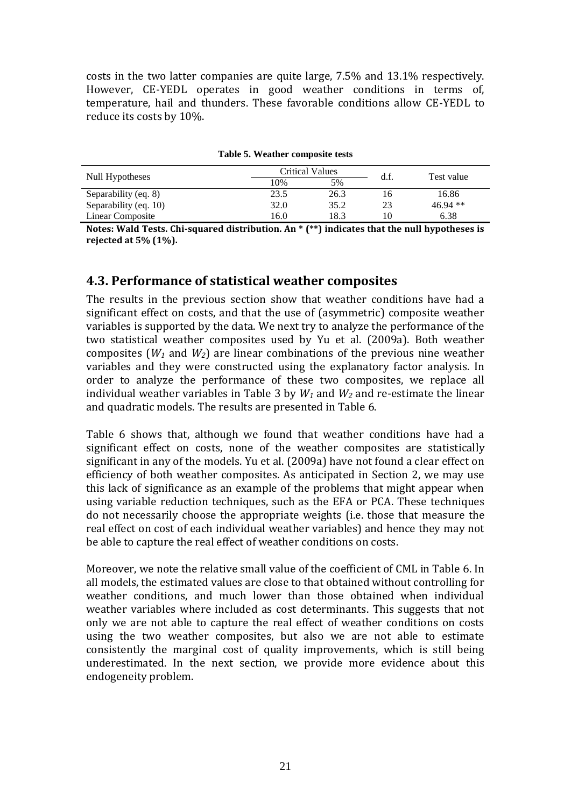costs in the two latter companies are quite large, 7.5% and 13.1% respectively. However, CE-YEDL operates in good weather conditions in terms of, temperature, hail and thunders. These favorable conditions allow CE-YEDL to reduce its costs by 10%.

|                       | <b>Critical Values</b> |      | d.f. | Test value |  |
|-----------------------|------------------------|------|------|------------|--|
| Null Hypotheses       | 10%                    | 5%   |      |            |  |
| Separability (eq. 8)  | 23.5                   | 26.3 | 16   | 16.86      |  |
| Separability (eq. 10) | 32.0                   | 35.2 | 23   | $46.94$ ** |  |
| Linear Composite      | 16.0                   | 18.3 | 10   | 6.38       |  |

**Table 5. Weather composite tests**

**Notes: Wald Tests. Chi-squared distribution. An \* (\*\*) indicates that the null hypotheses is rejected at 5% (1%).**

#### **4.3. Performance of statistical weather composites**

The results in the previous section show that weather conditions have had a significant effect on costs, and that the use of (asymmetric) composite weather variables is supported by the data. We next try to analyze the performance of the two statistical weather composites used by Yu et al. (2009a). Both weather composites (*W<sup>1</sup>* and *W2*) are linear combinations of the previous nine weather variables and they were constructed using the explanatory factor analysis. In order to analyze the performance of these two composites, we replace all individual weather variables in Table 3 by *W<sup>1</sup>* and *W<sup>2</sup>* and re-estimate the linear and quadratic models. The results are presented in Table 6.

Table 6 shows that, although we found that weather conditions have had a significant effect on costs, none of the weather composites are statistically significant in any of the models. Yu et al. (2009a) have not found a clear effect on efficiency of both weather composites. As anticipated in Section 2, we may use this lack of significance as an example of the problems that might appear when using variable reduction techniques, such as the EFA or PCA. These techniques do not necessarily choose the appropriate weights (i.e. those that measure the real effect on cost of each individual weather variables) and hence they may not be able to capture the real effect of weather conditions on costs.

Moreover, we note the relative small value of the coefficient of CML in Table 6. In all models, the estimated values are close to that obtained without controlling for weather conditions, and much lower than those obtained when individual weather variables where included as cost determinants. This suggests that not only we are not able to capture the real effect of weather conditions on costs using the two weather composites, but also we are not able to estimate consistently the marginal cost of quality improvements, which is still being underestimated. In the next section, we provide more evidence about this endogeneity problem.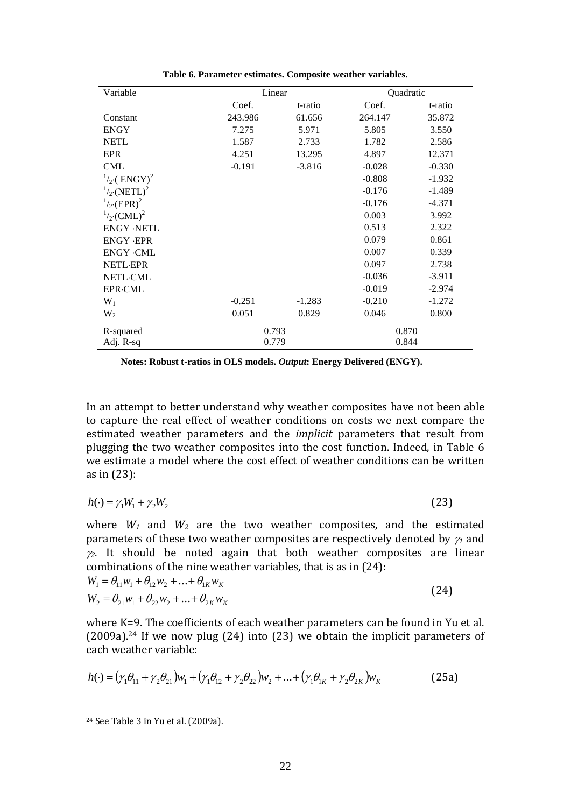| Variable                          |          | Linear   | Quadratic |          |  |
|-----------------------------------|----------|----------|-----------|----------|--|
|                                   | Coef.    | t-ratio  | Coef.     | t-ratio  |  |
| Constant                          | 243.986  | 61.656   | 264.147   | 35.872   |  |
| <b>ENGY</b>                       | 7.275    | 5.971    | 5.805     | 3.550    |  |
| <b>NETL</b>                       | 1.587    | 2.733    | 1.782     | 2.586    |  |
| <b>EPR</b>                        | 4.251    | 13.295   | 4.897     | 12.371   |  |
| CML                               | $-0.191$ | $-3.816$ | $-0.028$  | $-0.330$ |  |
| $\frac{1}{2}$ (ENGY) <sup>2</sup> |          |          | $-0.808$  | $-1.932$ |  |
| $^{1/2}$ (NETL) <sup>2</sup>      |          |          | $-0.176$  | $-1.489$ |  |
| $^{1}_{2}$ (EPR) <sup>2</sup>     |          |          | $-0.176$  | $-4.371$ |  |
| $^{1}_{2}$ (CML) <sup>2</sup>     |          |          | 0.003     | 3.992    |  |
| <b>ENGY ·NETL</b>                 |          |          | 0.513     | 2.322    |  |
| <b>ENGY ·EPR</b>                  |          |          | 0.079     | 0.861    |  |
| <b>ENGY ·CML</b>                  |          |          | 0.007     | 0.339    |  |
| <b>NETL-EPR</b>                   |          |          | 0.097     | 2.738    |  |
| <b>NETL-CML</b>                   |          |          | $-0.036$  | $-3.911$ |  |
| <b>EPR</b> -CML                   |          |          | $-0.019$  | $-2.974$ |  |
| $W_1$                             | $-0.251$ | $-1.283$ | $-0.210$  | $-1.272$ |  |
| $W_2$                             | 0.051    | 0.829    | 0.046     | 0.800    |  |
| R-squared                         |          | 0.793    | 0.870     |          |  |
| Adj. R-sq                         |          | 0.779    | 0.844     |          |  |

**Table 6. Parameter estimates. Composite weather variables.**

**Notes: Robust t-ratios in OLS models.** *Output***: Energy Delivered (ENGY).** 

In an attempt to better understand why weather composites have not been able to capture the real effect of weather conditions on costs we next compare the estimated weather parameters and the *implicit* parameters that result from plugging the two weather composites into the cost function. Indeed, in Table 6 we estimate a model where the cost effect of weather conditions can be written as in (23):

$$
h(\cdot) = \gamma_1 W_1 + \gamma_2 W_2 \tag{23}
$$

where  $W_1$  and  $W_2$  are the two weather composites, and the estimated parameters of these two weather composites are respectively denoted by  $\gamma_1$  and  $\chi$ <sup>2</sup>. It should be noted again that both weather composites are linear combinations of the nine weather variables, that is as in (24):

$$
W_1 = \theta_{11} w_1 + \theta_{12} w_2 + \dots + \theta_{1K} w_K
$$
  
\n
$$
W_2 = \theta_{21} w_1 + \theta_{22} w_2 + \dots + \theta_{2K} w_K
$$
\n(24)

where K=9. The coefficients of each weather parameters can be found in Yu et al. (2009a).<sup>24</sup> If we now plug (24) into (23) we obtain the implicit parameters of each weather variable:

$$
h(\cdot) = (\gamma_1 \theta_{11} + \gamma_2 \theta_{21}) w_1 + (\gamma_1 \theta_{12} + \gamma_2 \theta_{22}) w_2 + \dots + (\gamma_1 \theta_{1K} + \gamma_2 \theta_{2K}) w_K
$$
 (25a)

<sup>24</sup> See Table 3 in Yu et al. (2009a).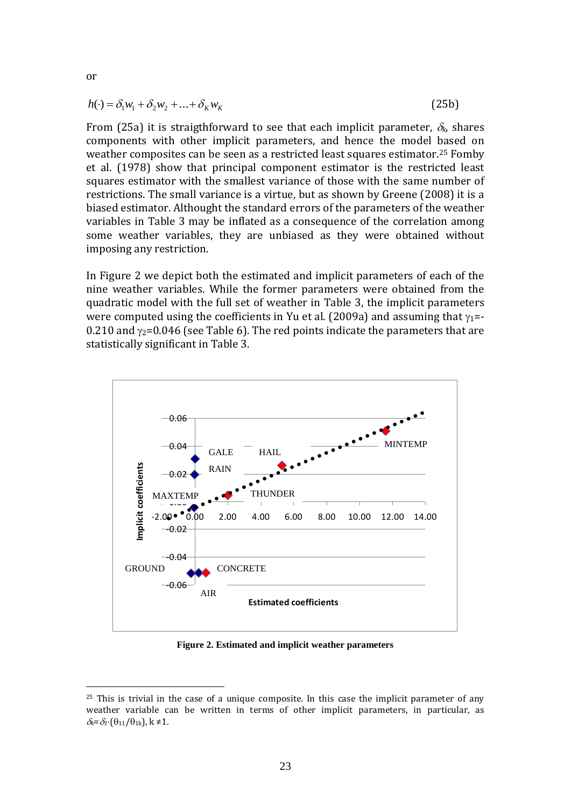$$
h(\cdot) = \delta_1 w_1 + \delta_2 w_2 + \dots + \delta_K w_K
$$
 (25b)

From (25a) it is straigthforward to see that each implicit parameter,  $\delta_k$ , shares components with other implicit parameters, and hence the model based on weather composites can be seen as a restricted least squares estimator.<sup>25</sup> Fomby et al. (1978) show that principal component estimator is the restricted least squares estimator with the smallest variance of those with the same number of restrictions. The small variance is a virtue, but as shown by Greene (2008) it is a biased estimator. Althought the standard errors of the parameters of the weather variables in Table 3 may be inflated as a consequence of the correlation among some weather variables, they are unbiased as they were obtained without imposing any restriction.

In Figure 2 we depict both the estimated and implicit parameters of each of the nine weather variables. While the former parameters were obtained from the quadratic model with the full set of weather in Table 3, the implicit parameters were computed using the coefficients in Yu et al. (2009a) and assuming that  $\gamma_1$ = 0.210 and  $\gamma_2$ =0.046 (see Table 6). The red points indicate the parameters that are statistically significant in Table 3.



**Figure 2. Estimated and implicit weather parameters**

 $25$  This is trivial in the case of a unique composite. In this case the implicit parameter of any weather variable can be written in terms of other implicit parameters, in particular, as  $\delta_k = \delta_1 \cdot (\theta_{11}/\theta_{1k})$ , k ≠1.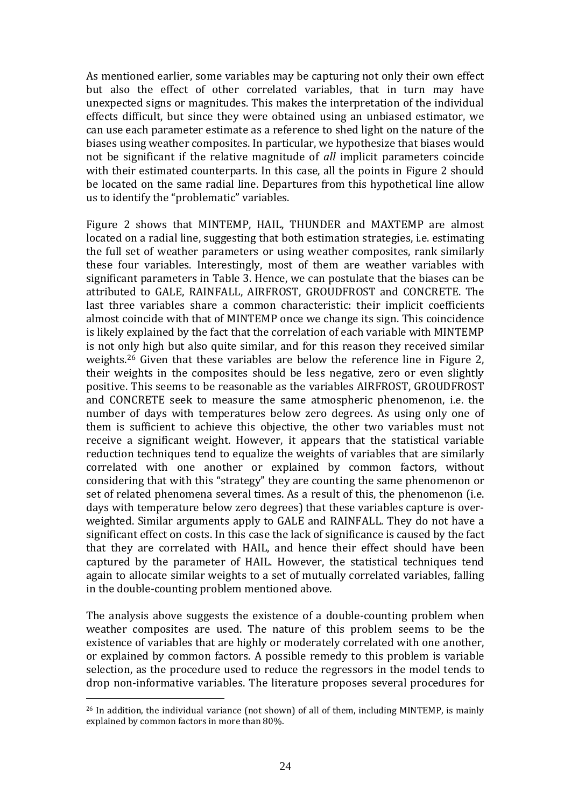As mentioned earlier, some variables may be capturing not only their own effect but also the effect of other correlated variables, that in turn may have unexpected signs or magnitudes. This makes the interpretation of the individual effects difficult, but since they were obtained using an unbiased estimator, we can use each parameter estimate as a reference to shed light on the nature of the biases using weather composites. In particular, we hypothesize that biases would not be significant if the relative magnitude of *all* implicit parameters coincide with their estimated counterparts. In this case, all the points in Figure 2 should be located on the same radial line. Departures from this hypothetical line allow us to identify the "problematic" variables.

Figure 2 shows that MINTEMP, HAIL, THUNDER and MAXTEMP are almost located on a radial line, suggesting that both estimation strategies, i.e. estimating the full set of weather parameters or using weather composites, rank similarly these four variables. Interestingly, most of them are weather variables with significant parameters in Table 3. Hence, we can postulate that the biases can be attributed to GALE, RAINFALL, AIRFROST, GROUDFROST and CONCRETE. The last three variables share a common characteristic: their implicit coefficients almost coincide with that of MINTEMP once we change its sign. This coincidence is likely explained by the fact that the correlation of each variable with MINTEMP is not only high but also quite similar, and for this reason they received similar weights.<sup>26</sup> Given that these variables are below the reference line in Figure 2, their weights in the composites should be less negative, zero or even slightly positive. This seems to be reasonable as the variables AIRFROST, GROUDFROST and CONCRETE seek to measure the same atmospheric phenomenon, i.e. the number of days with temperatures below zero degrees. As using only one of them is sufficient to achieve this objective, the other two variables must not receive a significant weight. However, it appears that the statistical variable reduction techniques tend to equalize the weights of variables that are similarly correlated with one another or explained by common factors, without considering that with this "strategy" they are counting the same phenomenon or set of related phenomena several times. As a result of this, the phenomenon (i.e. days with temperature below zero degrees) that these variables capture is overweighted. Similar arguments apply to GALE and RAINFALL. They do not have a significant effect on costs. In this case the lack of significance is caused by the fact that they are correlated with HAIL, and hence their effect should have been captured by the parameter of HAIL. However, the statistical techniques tend again to allocate similar weights to a set of mutually correlated variables, falling in the double-counting problem mentioned above.

The analysis above suggests the existence of a double-counting problem when weather composites are used. The nature of this problem seems to be the existence of variables that are highly or moderately correlated with one another, or explained by common factors. A possible remedy to this problem is variable selection, as the procedure used to reduce the regressors in the model tends to drop non-informative variables. The literature proposes several procedures for

 $26$  In addition, the individual variance (not shown) of all of them, including MINTEMP, is mainly explained by common factors in more than 80%.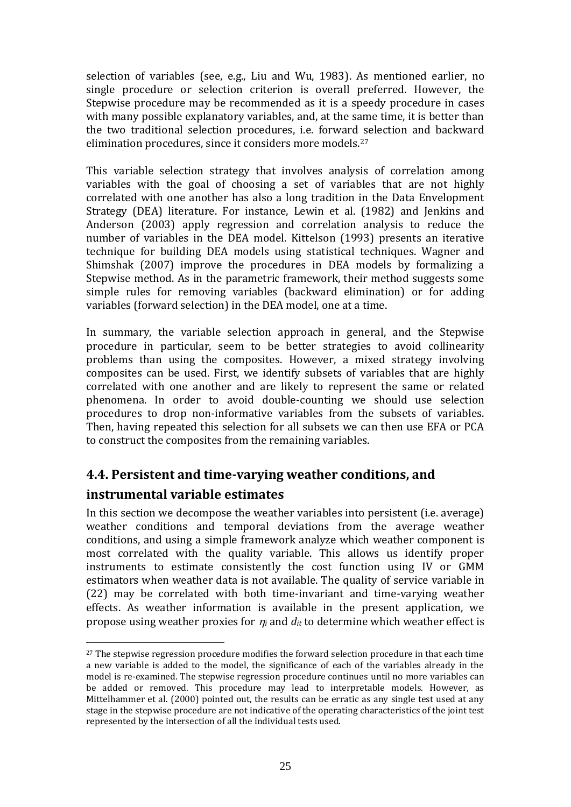selection of variables (see, e.g., Liu and Wu, 1983). As mentioned earlier, no single procedure or selection criterion is overall preferred. However, the Stepwise procedure may be recommended as it is a speedy procedure in cases with many possible explanatory variables, and, at the same time, it is better than the two traditional selection procedures, i.e. forward selection and backward elimination procedures, since it considers more models.<sup>27</sup>

This variable selection strategy that involves analysis of correlation among variables with the goal of choosing a set of variables that are not highly correlated with one another has also a long tradition in the Data Envelopment Strategy (DEA) literature. For instance, Lewin et al. (1982) and Jenkins and Anderson (2003) apply regression and correlation analysis to reduce the number of variables in the DEA model. Kittelson (1993) presents an iterative technique for building DEA models using statistical techniques. Wagner and Shimshak (2007) improve the procedures in DEA models by formalizing a Stepwise method. As in the parametric framework, their method suggests some simple rules for removing variables (backward elimination) or for adding variables (forward selection) in the DEA model, one at a time.

In summary, the variable selection approach in general, and the Stepwise procedure in particular, seem to be better strategies to avoid collinearity problems than using the composites. However, a mixed strategy involving composites can be used. First, we identify subsets of variables that are highly correlated with one another and are likely to represent the same or related phenomena. In order to avoid double-counting we should use selection procedures to drop non-informative variables from the subsets of variables. Then, having repeated this selection for all subsets we can then use EFA or PCA to construct the composites from the remaining variables.

# **4.4. Persistent and time-varying weather conditions, and**

## **instrumental variable estimates**

<u>.</u>

In this section we decompose the weather variables into persistent (i.e. average) weather conditions and temporal deviations from the average weather conditions, and using a simple framework analyze which weather component is most correlated with the quality variable. This allows us identify proper instruments to estimate consistently the cost function using IV or GMM estimators when weather data is not available. The quality of service variable in (22) may be correlated with both time-invariant and time-varying weather effects. As weather information is available in the present application, we propose using weather proxies for  $\eta_i$  and  $d_i$  to determine which weather effect is

 $27$  The stepwise regression procedure modifies the forward selection procedure in that each time a new variable is added to the model, the significance of each of the variables already in the model is re-examined. The stepwise regression procedure continues until no more variables can be added or removed. This procedure may lead to interpretable models. However, as Mittelhammer et al. (2000) pointed out, the results can be erratic as any single test used at any stage in the stepwise procedure are not indicative of the operating characteristics of the joint test represented by the intersection of all the individual tests used.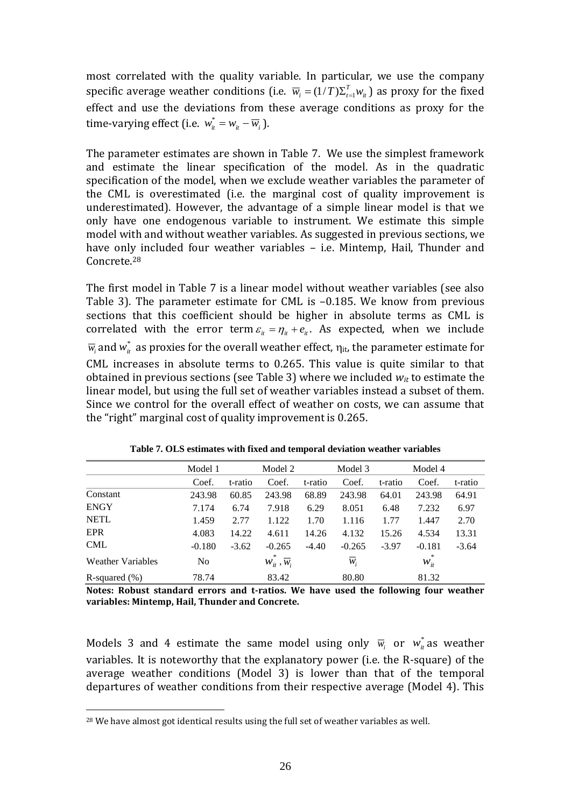most correlated with the quality variable. In particular, we use the company specific average weather conditions (i.e.  $\overline{w}_i = (1/T)\Sigma_{t=1}^T w_{it}$  $\overline{w}_i = (1/T)\Sigma_{t=1}^T w_i$  as proxy for the fixed effect and use the deviations from these average conditions as proxy for the time-varying effect (i.e.  $w_{it}^* = w_{it} - \overline{w}_i$ ).

The parameter estimates are shown in Table 7. We use the simplest framework and estimate the linear specification of the model. As in the quadratic specification of the model, when we exclude weather variables the parameter of the CML is overestimated (i.e. the marginal cost of quality improvement is underestimated). However, the advantage of a simple linear model is that we only have one endogenous variable to instrument. We estimate this simple model with and without weather variables. As suggested in previous sections, we have only included four weather variables – i.e. Mintemp, Hail, Thunder and Concrete.<sup>28</sup>

The first model in Table 7 is a linear model without weather variables (see also Table 3). The parameter estimate for CML is –0.185. We know from previous sections that this coefficient should be higher in absolute terms as CML is correlated with the error term  $\varepsilon_{it} = \eta_{it} + e_{it}$ . As expected, when we include  $\overline{w}_i$  and  $w^*_{it}$  as proxies for the overall weather effect,  $\eta_{it}$ , the parameter estimate for CML increases in absolute terms to 0.265. This value is quite similar to that obtained in previous sections (see Table 3) where we included *wit* to estimate the linear model, but using the full set of weather variables instead a subset of them. Since we control for the overall effect of weather on costs, we can assume that the "right" marginal cost of quality improvement is 0.265.

|                          | Model 1  |         | Model 2                        |         | Model 3  |         | Model 4  |         |
|--------------------------|----------|---------|--------------------------------|---------|----------|---------|----------|---------|
|                          | Coef.    | t-ratio | Coef.                          | t-ratio | Coef.    | t-ratio | Coef.    | t-ratio |
| Constant                 | 243.98   | 60.85   | 243.98                         | 68.89   | 243.98   | 64.01   | 243.98   | 64.91   |
| <b>ENGY</b>              | 7.174    | 6.74    | 7.918                          | 6.29    | 8.051    | 6.48    | 7.232    | 6.97    |
| <b>NETL</b>              | 1.459    | 2.77    | 1.122                          | 1.70    | 1.116    | 1.77    | 1.447    | 2.70    |
| <b>EPR</b>               | 4.083    | 14.22   | 4.611                          | 14.26   | 4.132    | 15.26   | 4.534    | 13.31   |
| <b>CML</b>               | $-0.180$ | $-3.62$ | $-0.265$                       | $-4.40$ | $-0.265$ | $-3.97$ | $-0.181$ | $-3.64$ |
| <b>Weather Variables</b> | No       |         | $W_{it}$ , $\overline{W}_{it}$ |         | $W_i$    |         | $W_{it}$ |         |
| R-squared $(\%)$         | 78.74    |         | 83.42                          |         | 80.80    |         | 81.32    |         |

**Table 7. OLS estimates with fixed and temporal deviation weather variables**

**Notes: Robust standard errors and t-ratios. We have used the following four weather variables: Mintemp, Hail, Thunder and Concrete.**

Models 3 and 4 estimate the same model using only  $\overline{w}_i$  or  $w_i^*$  as weather variables. It is noteworthy that the explanatory power (i.e. the R-square) of the average weather conditions (Model 3) is lower than that of the temporal departures of weather conditions from their respective average (Model 4). This

<sup>28</sup> We have almost got identical results using the full set of weather variables as well.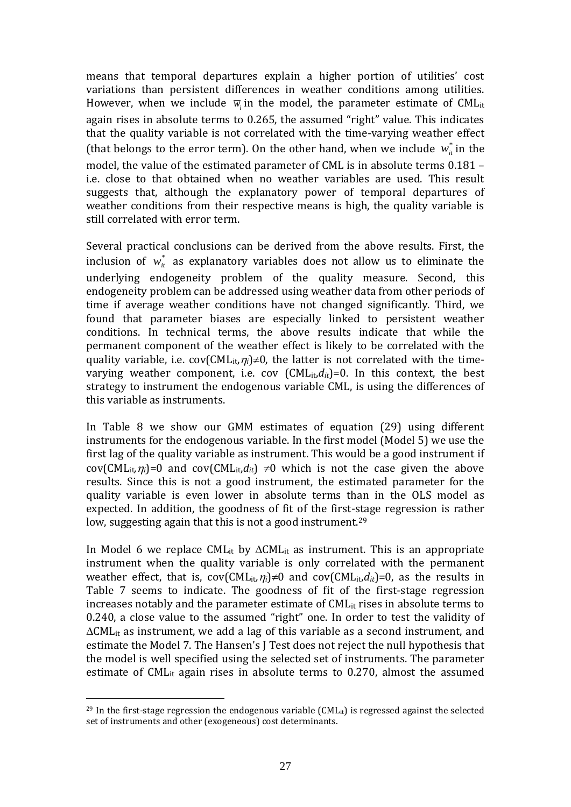means that temporal departures explain a higher portion of utilities' cost variations than persistent differences in weather conditions among utilities. However, when we include  $\overline{w}_i$  in the model, the parameter estimate of CML<sub>it</sub> again rises in absolute terms to 0.265, the assumed "right" value. This indicates that the quality variable is not correlated with the time-varying weather effect (that belongs to the error term). On the other hand, when we include  $w^*_{\textit{i}}$  in the model, the value of the estimated parameter of CML is in absolute terms 0.181 – i.e. close to that obtained when no weather variables are used. This result suggests that, although the explanatory power of temporal departures of weather conditions from their respective means is high, the quality variable is still correlated with error term.

Several practical conclusions can be derived from the above results. First, the inclusion of  $w_{it}^*$  as explanatory variables does not allow us to eliminate the underlying endogeneity problem of the quality measure. Second, this endogeneity problem can be addressed using weather data from other periods of time if average weather conditions have not changed significantly. Third, we found that parameter biases are especially linked to persistent weather conditions. In technical terms, the above results indicate that while the permanent component of the weather effect is likely to be correlated with the quality variable, i.e.  $cov(CML_{it}, \eta_i) \neq 0$ , the latter is not correlated with the timevarying weather component, i.e. cov  $(CML_{it}, d_{it})=0$ . In this context, the best strategy to instrument the endogenous variable CML, is using the differences of this variable as instruments.

In Table 8 we show our GMM estimates of equation (29) using different instruments for the endogenous variable. In the first model (Model 5) we use the first lag of the quality variable as instrument. This would be a good instrument if cov(CML<sub>it</sub>, $\eta_i$ )=0 and cov(CML<sub>it</sub>, $d_{it}$ )  $\neq$ 0 which is not the case given the above results. Since this is not a good instrument, the estimated parameter for the quality variable is even lower in absolute terms than in the OLS model as expected. In addition, the goodness of fit of the first-stage regression is rather low, suggesting again that this is not a good instrument.<sup>29</sup>

In Model 6 we replace CML<sub>it</sub> by  $\Delta$ CML<sub>it</sub> as instrument. This is an appropriate instrument when the quality variable is only correlated with the permanent weather effect, that is,  $cov(CML_{it}\eta_i)\neq 0$  and  $cov(CML_{it}d_{it})=0$ , as the results in Table 7 seems to indicate. The goodness of fit of the first-stage regression increases notably and the parameter estimate of CML<sub>it</sub> rises in absolute terms to 0.240, a close value to the assumed "right" one. In order to test the validity of  $\Delta$ CML<sub>it</sub> as instrument, we add a lag of this variable as a second instrument, and estimate the Model 7. The Hansen's J Test does not reject the null hypothesis that the model is well specified using the selected set of instruments. The parameter estimate of CML<sub>it</sub> again rises in absolute terms to  $0.270$ , almost the assumed

<sup>&</sup>lt;sup>29</sup> In the first-stage regression the endogenous variable (CML<sub>it</sub>) is regressed against the selected set of instruments and other (exogeneous) cost determinants.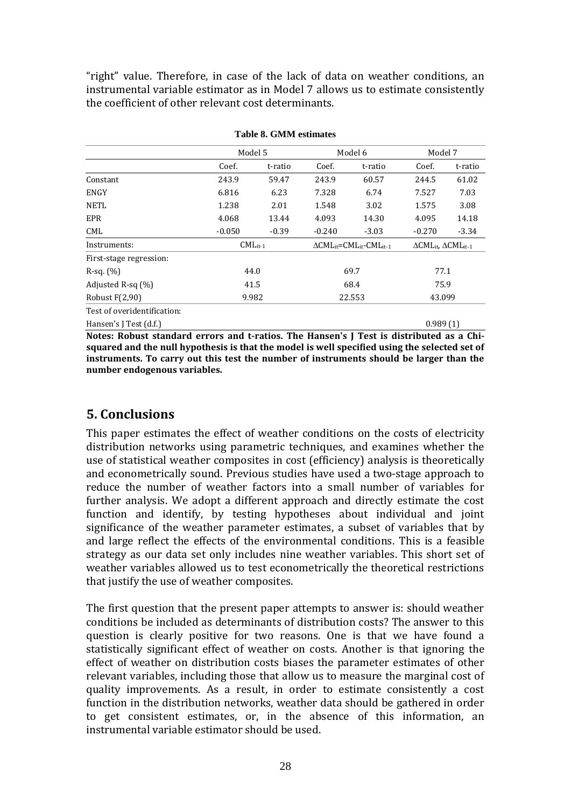"right" value. Therefore, in case of the lack of data on weather conditions, an instrumental variable estimator as in Model 7 allows us to estimate consistently the coefficient of other relevant cost determinants.

|                             | Model 5       |         |                                                                    | Model 6 | Model 7                                                   |         |  |
|-----------------------------|---------------|---------|--------------------------------------------------------------------|---------|-----------------------------------------------------------|---------|--|
|                             | Coef.         | t-ratio | Coef.                                                              | t-ratio | Coef.                                                     | t-ratio |  |
| Constant                    | 243.9         | 59.47   | 243.9                                                              | 60.57   | 244.5                                                     | 61.02   |  |
| ENGY                        | 6.816         | 6.23    | 7.328                                                              | 6.74    | 7.527                                                     | 7.03    |  |
| <b>NETL</b>                 | 1.238<br>2.01 |         | 1.548                                                              | 3.02    | 1.575                                                     | 3.08    |  |
| EPR                         | 4.068         | 13.44   | 4.093                                                              | 14.30   | 4.095                                                     | 14.18   |  |
| CML                         | $-0.050$      | $-0.39$ | $-0.240$                                                           | $-3.03$ | $-0.270$                                                  | $-3.34$ |  |
| Instruments:                | $CML_{it-1}$  |         | $\Delta$ CML <sub>it</sub> =CML <sub>it</sub> -CML <sub>it-1</sub> |         | $\Delta$ CML <sub>it</sub> , $\Delta$ CML <sub>it-1</sub> |         |  |
| First-stage regression:     |               |         |                                                                    |         |                                                           |         |  |
| $R$ -sq. $(\%)$             | 44.0          |         | 69.7                                                               |         | 77.1                                                      |         |  |
| Adjusted R-sq $(\%)$        | 41.5          |         | 68.4                                                               |         | 75.9                                                      |         |  |
| Robust $F(2,90)$            | 9.982         |         | 22.553                                                             |         | 43.099                                                    |         |  |
| Test of overidentification: |               |         |                                                                    |         |                                                           |         |  |
| Hansen's J Test (d.f.)      |               |         |                                                                    |         | 0.989(1)                                                  |         |  |

**Table 8. GMM estimates**

**Notes: Robust standard errors and t-ratios. The Hansen's J Test is distributed as a Chisquared and the null hypothesis is that the model is well specified using the selected set of instruments. To carry out this test the number of instruments should be larger than the number endogenous variables.**

## **5. Conclusions**

This paper estimates the effect of weather conditions on the costs of electricity distribution networks using parametric techniques, and examines whether the use of statistical weather composites in cost (efficiency) analysis is theoretically and econometrically sound. Previous studies have used a two-stage approach to reduce the number of weather factors into a small number of variables for further analysis. We adopt a different approach and directly estimate the cost function and identify, by testing hypotheses about individual and joint significance of the weather parameter estimates, a subset of variables that by and large reflect the effects of the environmental conditions. This is a feasible strategy as our data set only includes nine weather variables. This short set of weather variables allowed us to test econometrically the theoretical restrictions that justify the use of weather composites.

The first question that the present paper attempts to answer is: should weather conditions be included as determinants of distribution costs? The answer to this question is clearly positive for two reasons. One is that we have found a statistically significant effect of weather on costs. Another is that ignoring the effect of weather on distribution costs biases the parameter estimates of other relevant variables, including those that allow us to measure the marginal cost of quality improvements. As a result, in order to estimate consistently a cost function in the distribution networks, weather data should be gathered in order to get consistent estimates, or, in the absence of this information, an instrumental variable estimator should be used.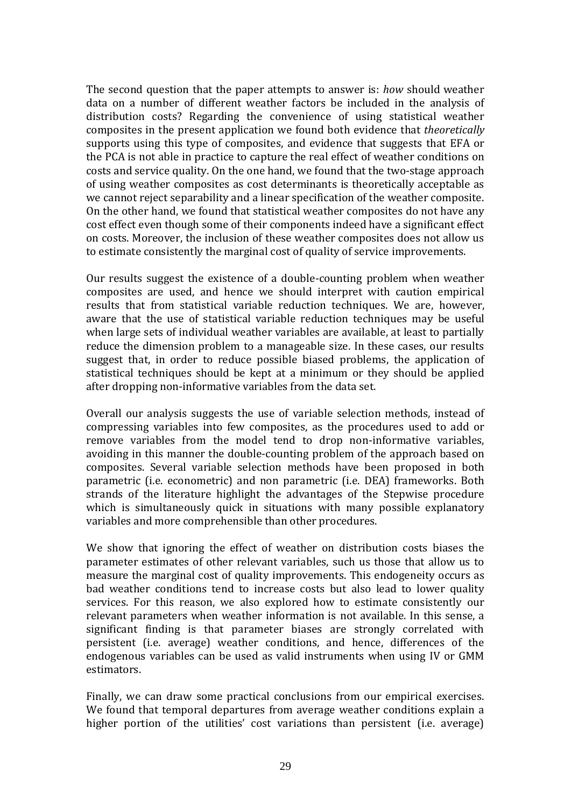The second question that the paper attempts to answer is: *how* should weather data on a number of different weather factors be included in the analysis of distribution costs? Regarding the convenience of using statistical weather composites in the present application we found both evidence that *theoretically* supports using this type of composites, and evidence that suggests that EFA or the PCA is not able in practice to capture the real effect of weather conditions on costs and service quality. On the one hand, we found that the two-stage approach of using weather composites as cost determinants is theoretically acceptable as we cannot reject separability and a linear specification of the weather composite. On the other hand, we found that statistical weather composites do not have any cost effect even though some of their components indeed have a significant effect on costs. Moreover, the inclusion of these weather composites does not allow us to estimate consistently the marginal cost of quality of service improvements.

Our results suggest the existence of a double-counting problem when weather composites are used, and hence we should interpret with caution empirical results that from statistical variable reduction techniques. We are, however, aware that the use of statistical variable reduction techniques may be useful when large sets of individual weather variables are available, at least to partially reduce the dimension problem to a manageable size. In these cases, our results suggest that, in order to reduce possible biased problems, the application of statistical techniques should be kept at a minimum or they should be applied after dropping non-informative variables from the data set.

Overall our analysis suggests the use of variable selection methods, instead of compressing variables into few composites, as the procedures used to add or remove variables from the model tend to drop non-informative variables, avoiding in this manner the double-counting problem of the approach based on composites. Several variable selection methods have been proposed in both parametric (i.e. econometric) and non parametric (i.e. DEA) frameworks. Both strands of the literature highlight the advantages of the Stepwise procedure which is simultaneously quick in situations with many possible explanatory variables and more comprehensible than other procedures.

We show that ignoring the effect of weather on distribution costs biases the parameter estimates of other relevant variables, such us those that allow us to measure the marginal cost of quality improvements. This endogeneity occurs as bad weather conditions tend to increase costs but also lead to lower quality services. For this reason, we also explored how to estimate consistently our relevant parameters when weather information is not available. In this sense, a significant finding is that parameter biases are strongly correlated with persistent (i.e. average) weather conditions, and hence, differences of the endogenous variables can be used as valid instruments when using IV or GMM estimators.

Finally, we can draw some practical conclusions from our empirical exercises. We found that temporal departures from average weather conditions explain a higher portion of the utilities' cost variations than persistent (i.e. average)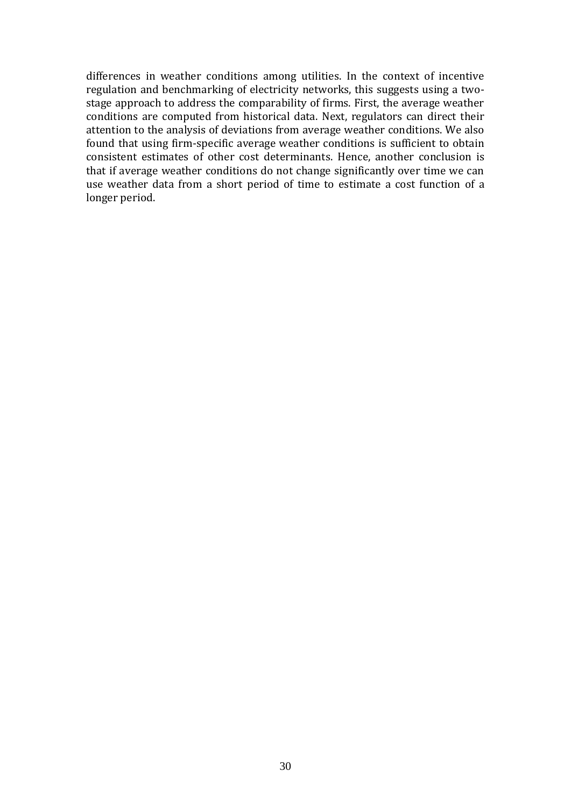differences in weather conditions among utilities. In the context of incentive regulation and benchmarking of electricity networks, this suggests using a twostage approach to address the comparability of firms. First, the average weather conditions are computed from historical data. Next, regulators can direct their attention to the analysis of deviations from average weather conditions. We also found that using firm-specific average weather conditions is sufficient to obtain consistent estimates of other cost determinants. Hence, another conclusion is that if average weather conditions do not change significantly over time we can use weather data from a short period of time to estimate a cost function of a longer period.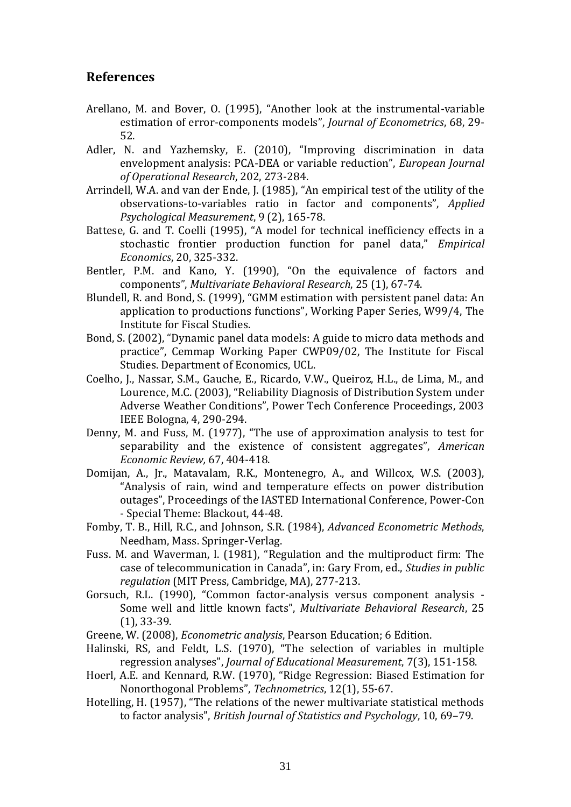#### **References**

- Arellano, M. and Bover, O. (1995), "Another look at the instrumental-variable estimation of error-components models", *Journal of Econometrics*, 68, 29- 52.
- Adler, N. and Yazhemsky, E. (2010), "Improving discrimination in data envelopment analysis: PCA-DEA or variable reduction", *European Journal of Operational Research*, 202, 273-284.
- Arrindell, W.A. and van der Ende, J. (1985), "An empirical test of the utility of the observations-to-variables ratio in factor and components", *Applied Psychological Measurement*, 9 (2), 165-78.
- Battese, G. and T. Coelli (1995), "A model for technical inefficiency effects in a stochastic frontier production function for panel data," *Empirical Economics*, 20, 325-332.
- Bentler, P.M. and Kano, Y. (1990), "On the equivalence of factors and components", *Multivariate Behavioral Research*, 25 (1), 67-74.
- Blundell, R. and Bond, S. (1999), "GMM estimation with persistent panel data: An application to productions functions", Working Paper Series, W99/4, The Institute for Fiscal Studies.
- Bond, S. (2002), "Dynamic panel data models: A guide to micro data methods and practice", Cemmap Working Paper CWP09/02, The Institute for Fiscal Studies. Department of Economics, UCL.
- Coelho, J., Nassar, S.M., Gauche, E., Ricardo, V.W., Queiroz, H.L., de Lima, M., and Lourence, M.C. (2003), "Reliability Diagnosis of Distribution System under Adverse Weather Conditions", Power Tech Conference Proceedings, 2003 IEEE Bologna, 4, 290-294.
- Denny, M. and Fuss, M. (1977), "The use of approximation analysis to test for separability and the existence of consistent aggregates", *American Economic Review,* 67, 404-418.
- Domijan, A., Jr., Matavalam, R.K., Montenegro, A., and Willcox, W.S. (2003), "Analysis of rain, wind and temperature effects on power distribution outages", Proceedings of the IASTED International Conference, Power-Con - Special Theme: Blackout, 44-48.
- Fomby, T. B., Hill, R.C., and Johnson, S.R. (1984), *Advanced Econometric Methods*, Needham, Mass. Springer-Verlag.
- Fuss. M. and Waverman, l. (1981), "Regulation and the multiproduct firm: The case of telecommunication in Canada", in: Gary From, ed., *Studies in public regulation* (MIT Press, Cambridge, MA), 277-213.
- Gorsuch, R.L. (1990), "Common factor-analysis versus component analysis Some well and little known facts", *Multivariate Behavioral Research*, 25 (1), 33-39.
- Greene, W. (2008), *Econometric analysis*, Pearson Education; 6 Edition.
- Halinski, RS, and Feldt, L.S. (1970), "The selection of variables in multiple regression analyses", *Journal of Educational Measurement*, 7(3), 151-158.
- Hoerl, A.E. and Kennard, R.W. (1970), "Ridge Regression: Biased Estimation for Nonorthogonal Problems", *Technometrics*, 12(1), 55-67.
- Hotelling, H. (1957), "The relations of the newer multivariate statistical methods to factor analysis", *British Journal of Statistics and Psychology*, 10, 69–79.